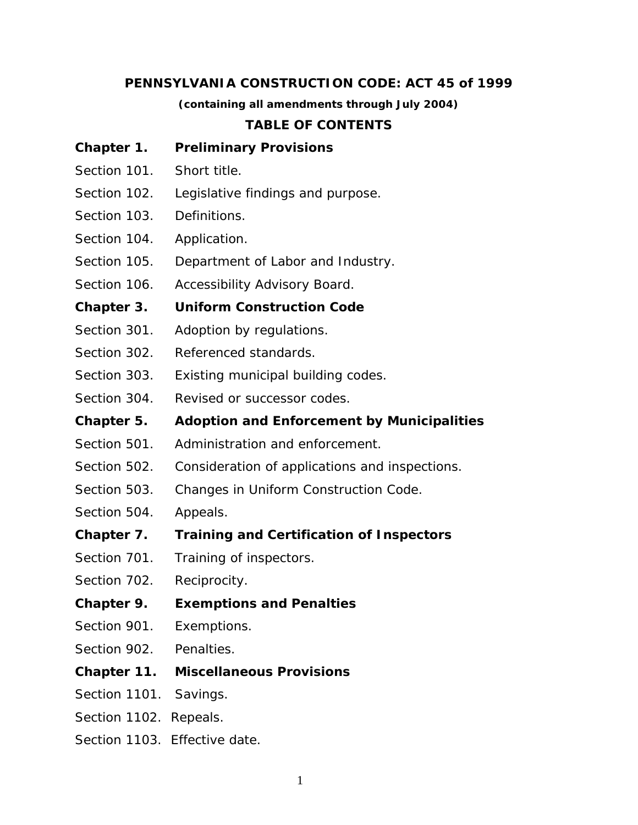### **PENNSYLVANIA CONSTRUCTION CODE: ACT 45 of 1999**

*(containing all amendments through July 2004)*

### **TABLE OF CONTENTS**

- **Chapter 1. Preliminary Provisions**
- Section 101. Short title.
- Section 102. Legislative findings and purpose.
- Section 103. Definitions.
- Section 104. Application.
- Section 105. Department of Labor and Industry.
- Section 106. Accessibility Advisory Board.

### **Chapter 3. Uniform Construction Code**

- Section 301. Adoption by regulations.
- Section 302. Referenced standards.
- Section 303. Existing municipal building codes.
- Section 304. Revised or successor codes.
- **Chapter 5. Adoption and Enforcement by Municipalities**
- Section 501. Administration and enforcement.
- Section 502. Consideration of applications and inspections.
- Section 503. Changes in Uniform Construction Code.
- Section 504. Appeals.
- **Chapter 7. Training and Certification of Inspectors**
- Section 701. Training of inspectors.
- Section 702. Reciprocity.
- **Chapter 9. Exemptions and Penalties**
- Section 901. Exemptions.
- Section 902. Penalties.
- **Chapter 11. Miscellaneous Provisions**
- Section 1101. Savings.
- Section 1102. Repeals.
- Section 1103. Effective date.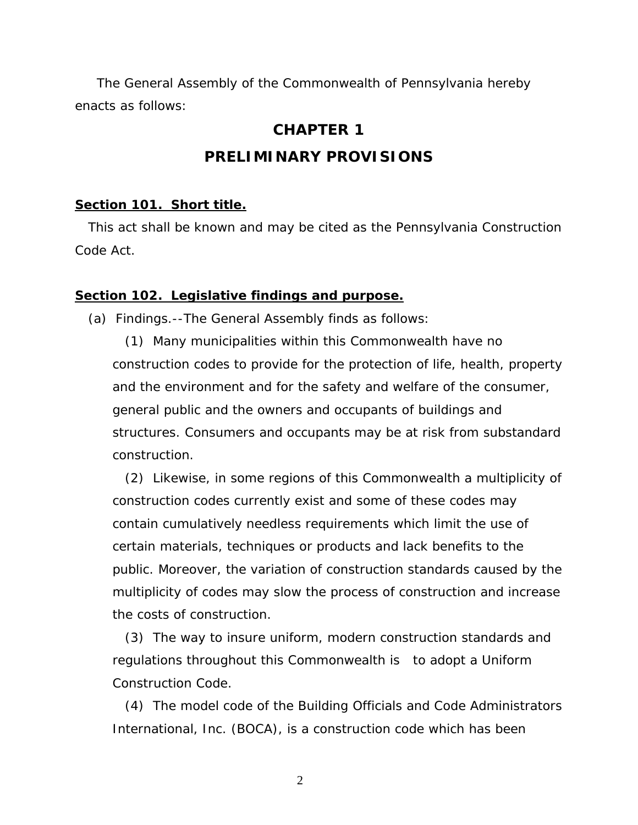The General Assembly of the Commonwealth of Pennsylvania hereby enacts as follows:

### **CHAPTER 1**

# **PRELIMINARY PROVISIONS**

#### **Section 101. Short title.**

 This act shall be known and may be cited as the Pennsylvania Construction Code Act.

#### **Section 102. Legislative findings and purpose.**

(a) Findings.--The General Assembly finds as follows:

(1) Many municipalities within this Commonwealth have no construction codes to provide for the protection of life, health, property and the environment and for the safety and welfare of the consumer, general public and the owners and occupants of buildings and structures. Consumers and occupants may be at risk from substandard construction.

(2) Likewise, in some regions of this Commonwealth a multiplicity of construction codes currently exist and some of these codes may contain cumulatively needless requirements which limit the use of certain materials, techniques or products and lack benefits to the public. Moreover, the variation of construction standards caused by the multiplicity of codes may slow the process of construction and increase the costs of construction.

 (3) The way to insure uniform, modern construction standards and regulations throughout this Commonwealth is to adopt a Uniform Construction Code.

(4) The model code of the Building Officials and Code Administrators International, Inc. (BOCA), is a construction code which has been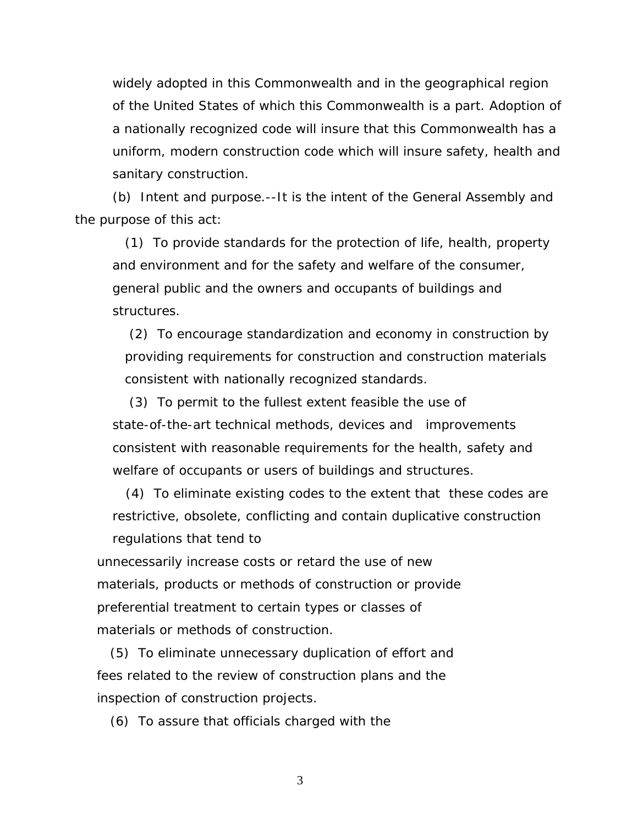widely adopted in this Commonwealth and in the geographical region of the United States of which this Commonwealth is a part. Adoption of a nationally recognized code will insure that this Commonwealth has a uniform, modern construction code which will insure safety, health and sanitary construction.

(b) Intent and purpose.--It is the intent of the General Assembly and the purpose of this act:

(1) To provide standards for the protection of life, health, property and environment and for the safety and welfare of the consumer, general public and the owners and occupants of buildings and structures.

 (2) To encourage standardization and economy in construction by providing requirements for construction and construction materials consistent with nationally recognized standards.

 (3) To permit to the fullest extent feasible the use of state-of-the-art technical methods, devices and improvements consistent with reasonable requirements for the health, safety and welfare of occupants or users of buildings and structures.

 (4) To eliminate existing codes to the extent that these codes are restrictive, obsolete, conflicting and contain duplicative construction regulations that tend to

 unnecessarily increase costs or retard the use of new materials, products or methods of construction or provide preferential treatment to certain types or classes of materials or methods of construction.

 (5) To eliminate unnecessary duplication of effort and fees related to the review of construction plans and the inspection of construction projects.

(6) To assure that officials charged with the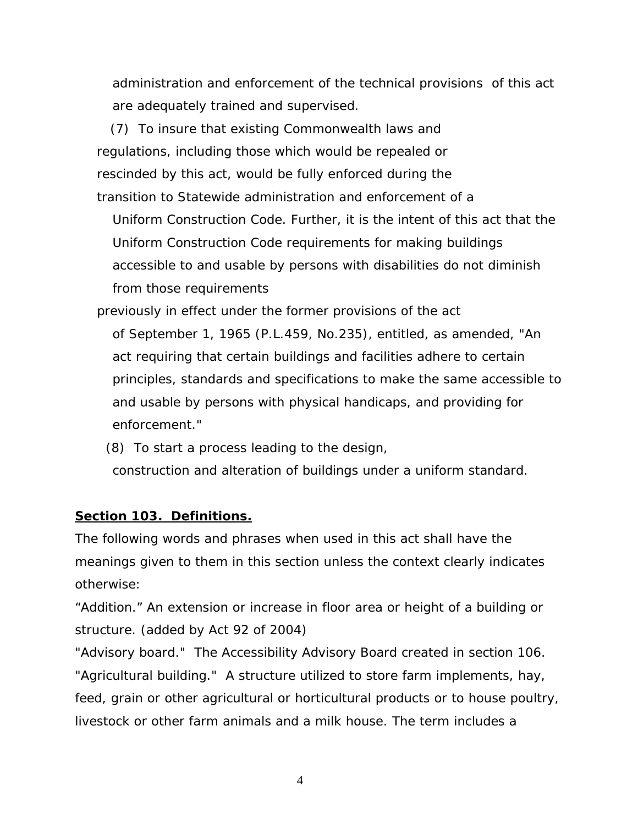administration and enforcement of the technical provisions of this act are adequately trained and supervised.

 (7) To insure that existing Commonwealth laws and regulations, including those which would be repealed or rescinded by this act, would be fully enforced during the transition to Statewide administration and enforcement of a

Uniform Construction Code. Further, it is the intent of this act that the Uniform Construction Code requirements for making buildings accessible to and usable by persons with disabilities do not diminish from those requirements

 previously in effect under the former provisions of the act of September 1, 1965 (P.L.459, No.235), entitled, as amended, "An act requiring that certain buildings and facilities adhere to certain principles, standards and specifications to make the same accessible to and usable by persons with physical handicaps, and providing for enforcement."

(8) To start a process leading to the design,

construction and alteration of buildings under a uniform standard.

# **Section 103. Definitions.**

The following words and phrases when used in this act shall have the meanings given to them in this section unless the context clearly indicates otherwise:

"Addition." An extension or increase in floor area or height of a building or structure. *(added by Act 92 of 2004)* 

"Advisory board." The Accessibility Advisory Board created in section 106. "Agricultural building." A structure utilized to store farm implements, hay, feed, grain or other agricultural or horticultural products or to house poultry, livestock or other farm animals and a milk house. The term includes a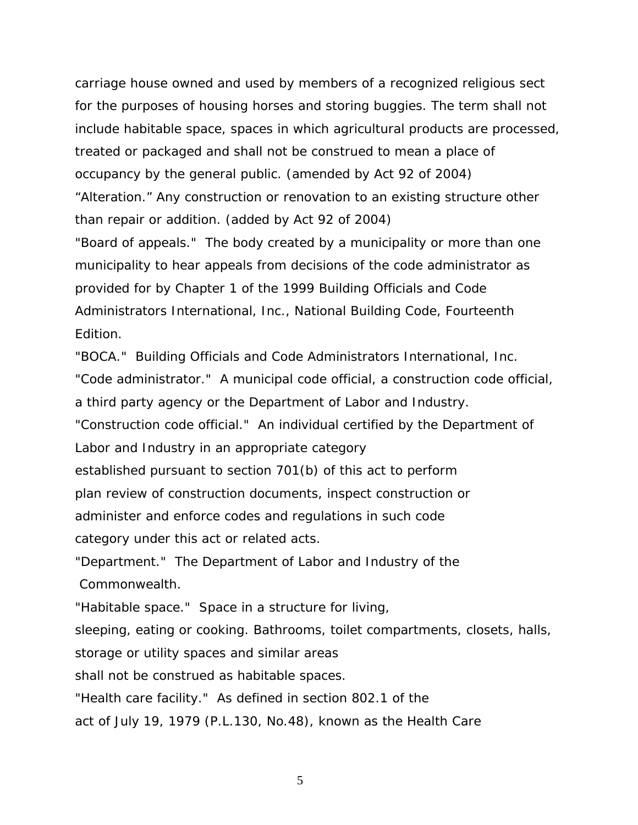carriage house owned and used by members of a recognized religious sect for the purposes of housing horses and storing buggies. The term shall not include habitable space, spaces in which agricultural products are processed, treated or packaged and shall not be construed to mean a place of occupancy by the general public. *(amended by Act 92 of 2004)*  "Alteration." Any construction or renovation to an existing structure other than repair or addition. *(added by Act 92 of 2004)* 

"Board of appeals." The body created by a municipality or more than one municipality to hear appeals from decisions of the code administrator as provided for by Chapter 1 of the 1999 Building Officials and Code Administrators International, Inc., National Building Code, Fourteenth Edition.

"BOCA." Building Officials and Code Administrators International, Inc.

"Code administrator." A municipal code official, a construction code official,

a third party agency or the Department of Labor and Industry.

"Construction code official." An individual certified by the Department of

Labor and Industry in an appropriate category

established pursuant to section 701(b) of this act to perform

plan review of construction documents, inspect construction or

administer and enforce codes and regulations in such code

category under this act or related acts.

"Department." The Department of Labor and Industry of the Commonwealth.

"Habitable space." Space in a structure for living,

sleeping, eating or cooking. Bathrooms, toilet compartments, closets, halls,

storage or utility spaces and similar areas

shall not be construed as habitable spaces.

"Health care facility." As defined in section 802.1 of the

act of July 19, 1979 (P.L.130, No.48), known as the Health Care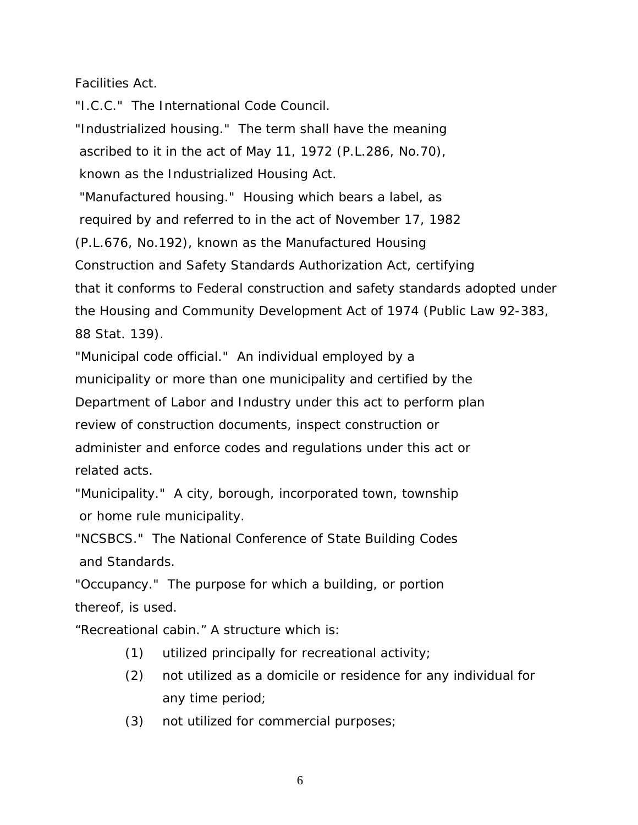# Facilities Act.

"I.C.C." The International Code Council.

"Industrialized housing." The term shall have the meaning ascribed to it in the act of May 11, 1972 (P.L.286, No.70),

known as the Industrialized Housing Act.

 "Manufactured housing." Housing which bears a label, as required by and referred to in the act of November 17, 1982 (P.L.676, No.192), known as the Manufactured Housing Construction and Safety Standards Authorization Act, certifying

that it conforms to Federal construction and safety standards adopted under the Housing and Community Development Act of 1974 (Public Law 92-383, 88 Stat. 139).

"Municipal code official." An individual employed by a municipality or more than one municipality and certified by the Department of Labor and Industry under this act to perform plan review of construction documents, inspect construction or administer and enforce codes and regulations under this act or related acts.

"Municipality." A city, borough, incorporated town, township or home rule municipality.

"NCSBCS." The National Conference of State Building Codes and Standards.

"Occupancy." The purpose for which a building, or portion thereof, is used.

"Recreational cabin." A structure which is:

- (1) utilized principally for recreational activity;
- (2) not utilized as a domicile or residence for any individual for any time period;
- (3) not utilized for commercial purposes;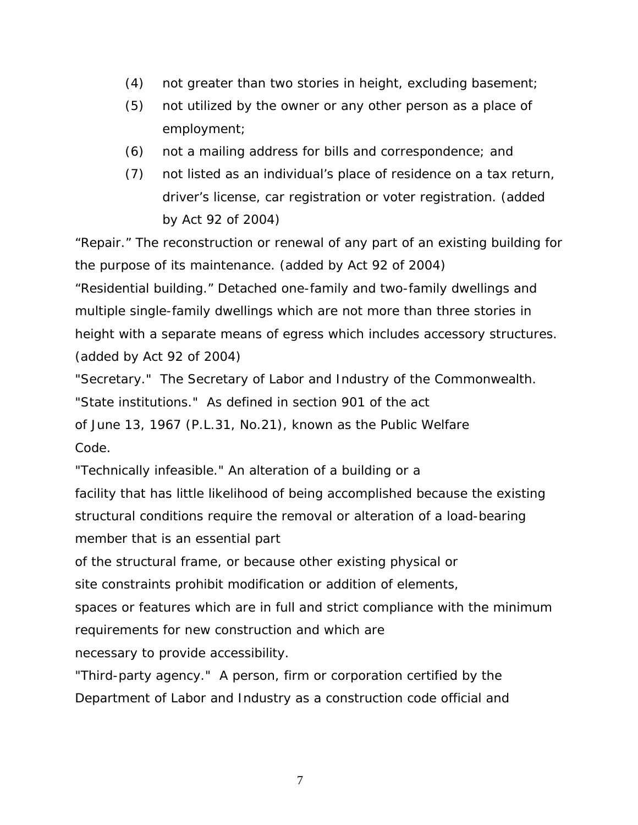- (4) not greater than two stories in height, excluding basement;
- (5) not utilized by the owner or any other person as a place of employment;
- (6) not a mailing address for bills and correspondence; and
- *(7)* not listed as an individual's place of residence on a tax return, driver's license, car registration or voter registration. *(added by Act 92 of 2004)*

"Repair." The reconstruction or renewal of any part of an existing building for the purpose of its maintenance. *(added by Act 92 of 2004)*

"Residential building." Detached one-family and two-family dwellings and multiple single-family dwellings which are not more than three stories in height with a separate means of egress which includes accessory structures. *(added by Act 92 of 2004)* 

"Secretary." The Secretary of Labor and Industry of the Commonwealth. "State institutions." As defined in section 901 of the act of June 13, 1967 (P.L.31, No.21), known as the Public Welfare

Code.

"Technically infeasible." An alteration of a building or a

facility that has little likelihood of being accomplished because the existing structural conditions require the removal or alteration of a load-bearing member that is an essential part

of the structural frame, or because other existing physical or

site constraints prohibit modification or addition of elements,

spaces or features which are in full and strict compliance with the minimum requirements for new construction and which are

necessary to provide accessibility.

"Third-party agency." A person, firm or corporation certified by the Department of Labor and Industry as a construction code official and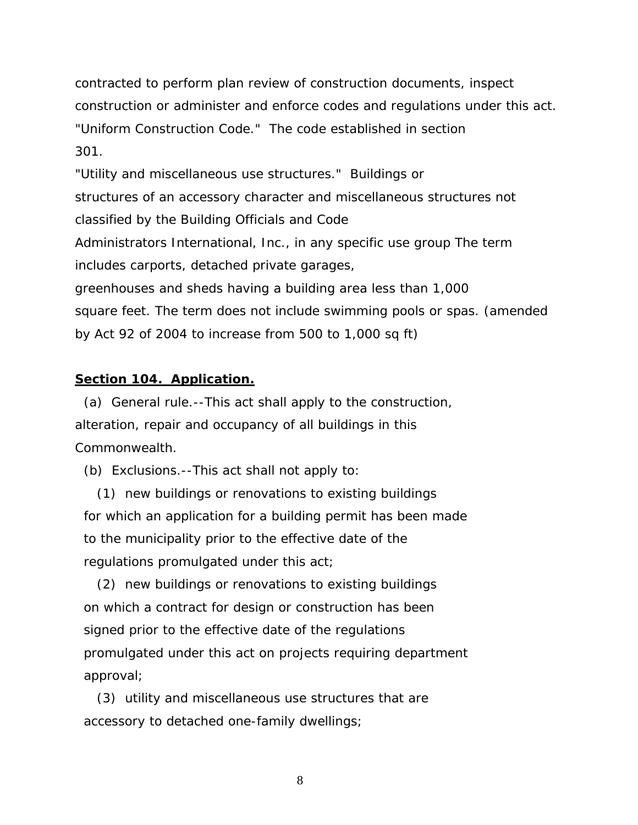contracted to perform plan review of construction documents, inspect construction or administer and enforce codes and regulations under this act. "Uniform Construction Code." The code established in section 301.

"Utility and miscellaneous use structures." Buildings or structures of an accessory character and miscellaneous structures not classified by the Building Officials and Code Administrators International, Inc., in any specific use group The term includes carports, detached private garages, greenhouses and sheds having a building area less than 1,000 square feet. The term does not include swimming pools or spas. *(amended by Act 92 of 2004 to increase from 500 to 1,000 sq ft)* 

### **Section 104. Application.**

 (a) General rule.--This act shall apply to the construction, alteration, repair and occupancy of all buildings in this Commonwealth.

(b) Exclusions.--This act shall not apply to:

 (1) new buildings or renovations to existing buildings for which an application for a building permit has been made to the municipality prior to the effective date of the regulations promulgated under this act;

 (2) new buildings or renovations to existing buildings on which a contract for design or construction has been signed prior to the effective date of the regulations promulgated under this act on projects requiring department approval;

 (3) utility and miscellaneous use structures that are accessory to detached one-family dwellings;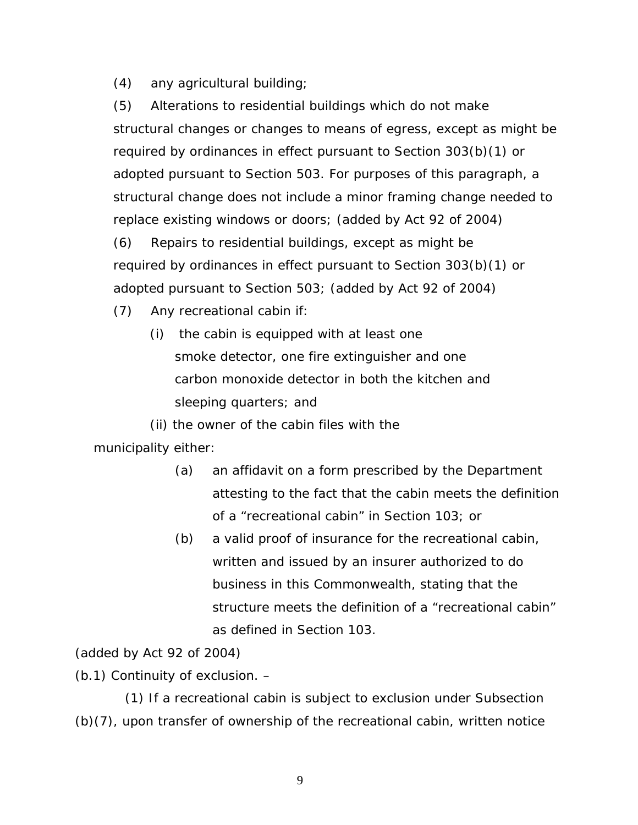(4) any agricultural building;

(5) Alterations to residential buildings which do not make structural changes or changes to means of egress, except as might be required by ordinances in effect pursuant to Section 303(b)(1) or adopted pursuant to Section 503. For purposes of this paragraph, a structural change does not include a minor framing change needed to replace existing windows or doors; *(added by Act 92 of 2004)*  (6) Repairs to residential buildings, except as might be

required by ordinances in effect pursuant to Section 303(b)(1) or adopted pursuant to Section 503; *(added by Act 92 of 2004)*

- (7) Any recreational cabin if:
	- (i) the cabin is equipped with at least one smoke detector, one fire extinguisher and one carbon monoxide detector in both the kitchen and sleeping quarters; and

(ii) the owner of the cabin files with the

municipality either:

- (a) an affidavit on a form prescribed by the Department attesting to the fact that the cabin meets the definition of a "recreational cabin" in Section 103; or
- *(b)* a valid proof of insurance for the recreational cabin, written and issued by an insurer authorized to do business in this Commonwealth, stating that the structure meets the definition of a "recreational cabin" as defined in Section 103.

# *(added by Act 92 of 2004)*

(b.1) Continuity of exclusion. –

(1) If a recreational cabin is subject to exclusion under Subsection (b)(7), upon transfer of ownership of the recreational cabin, written notice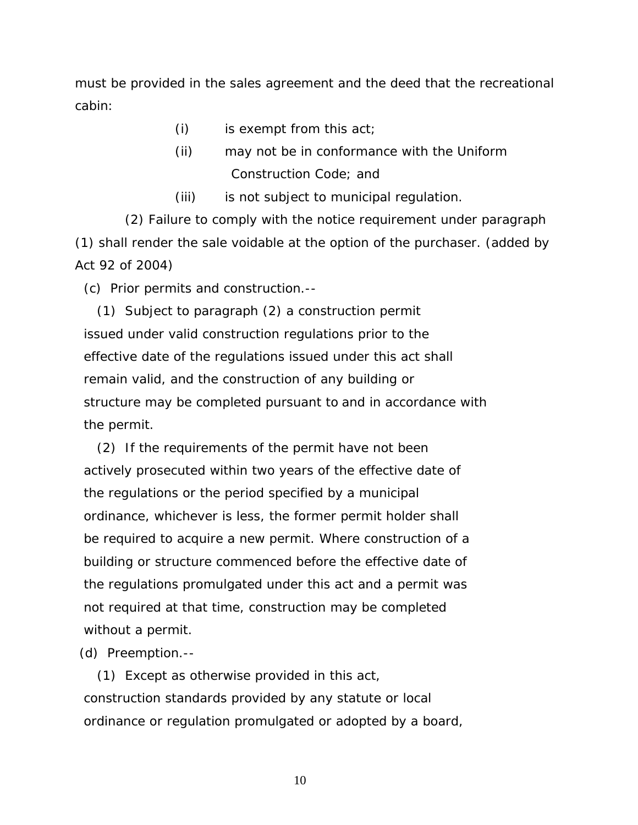must be provided in the sales agreement and the deed that the recreational cabin:

- $(i)$  is exempt from this act;
- (ii) may not be in conformance with the Uniform Construction Code; and
- (iii) is not subject to municipal regulation.

(2) Failure to comply with the notice requirement under paragraph (1) shall render the sale voidable at the option of the purchaser. *(added by Act 92 of 2004)*

(c) Prior permits and construction.--

 (1) Subject to paragraph (2) a construction permit issued under valid construction regulations prior to the effective date of the regulations issued under this act shall remain valid, and the construction of any building or structure may be completed pursuant to and in accordance with the permit.

 (2) If the requirements of the permit have not been actively prosecuted within two years of the effective date of the regulations or the period specified by a municipal ordinance, whichever is less, the former permit holder shall be required to acquire a new permit. Where construction of a building or structure commenced before the effective date of the regulations promulgated under this act and a permit was not required at that time, construction may be completed without a permit.

(d) Preemption.--

 (1) Except as otherwise provided in this act, construction standards provided by any statute or local ordinance or regulation promulgated or adopted by a board,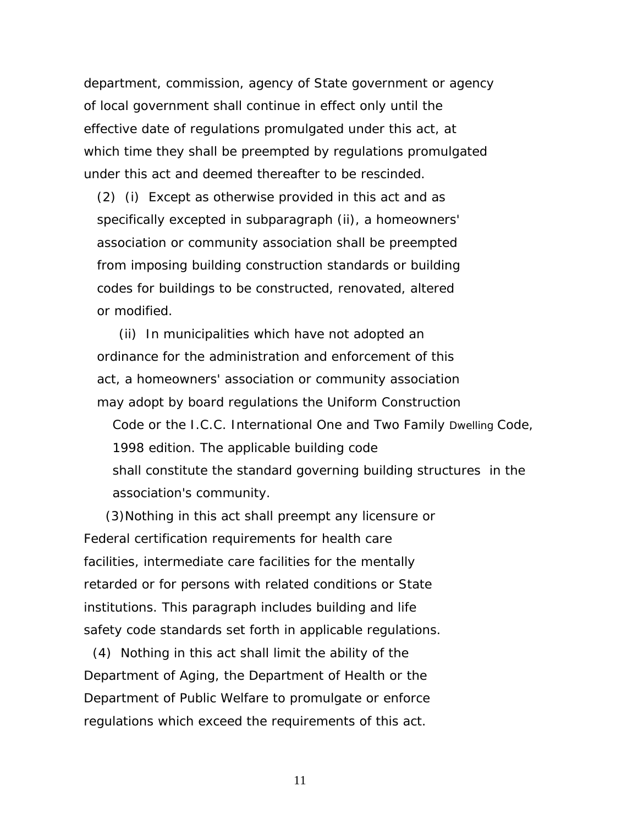department, commission, agency of State government or agency of local government shall continue in effect only until the effective date of regulations promulgated under this act, at which time they shall be preempted by regulations promulgated under this act and deemed thereafter to be rescinded.

 (2) (i) Except as otherwise provided in this act and as specifically excepted in subparagraph (ii), a homeowners' association or community association shall be preempted from imposing building construction standards or building codes for buildings to be constructed, renovated, altered or modified.

 (ii) In municipalities which have not adopted an ordinance for the administration and enforcement of this act, a homeowners' association or community association may adopt by board regulations the Uniform Construction

Code or the I.C.C. International One and Two Family Dwelling Code, 1998 edition. The applicable building code shall constitute the standard governing building structures in the association's community.

(3)Nothing in this act shall preempt any licensure or Federal certification requirements for health care facilities, intermediate care facilities for the mentally retarded or for persons with related conditions or State institutions. This paragraph includes building and life safety code standards set forth in applicable regulations.

 (4) Nothing in this act shall limit the ability of the Department of Aging, the Department of Health or the Department of Public Welfare to promulgate or enforce regulations which exceed the requirements of this act.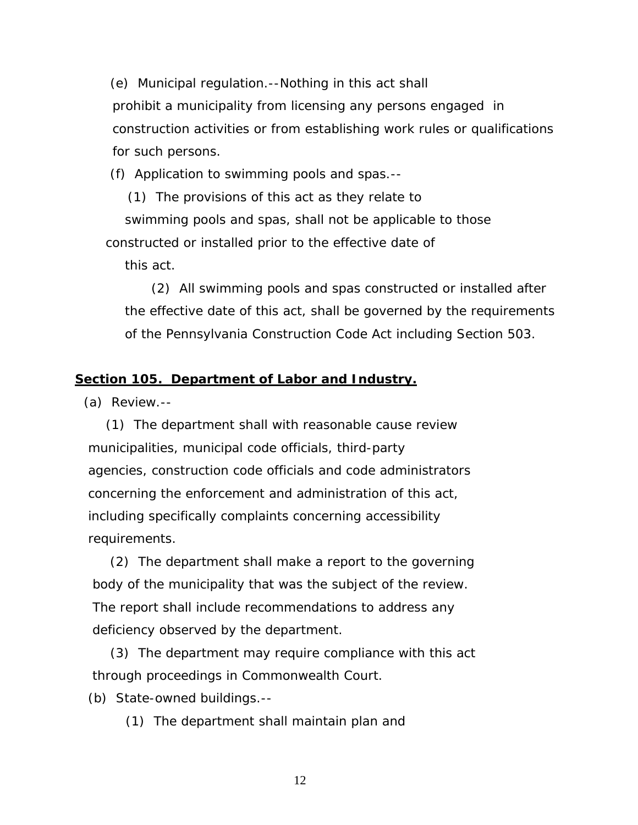(e) Municipal regulation.--Nothing in this act shall prohibit a municipality from licensing any persons engaged in construction activities or from establishing work rules or qualifications for such persons.

(f) Application to swimming pools and spas.--

 (1) The provisions of this act as they relate to swimming pools and spas, shall not be applicable to those constructed or installed prior to the effective date of

this act.

 (2) All swimming pools and spas constructed or installed after the effective date of this act, shall be governed by the requirements of the Pennsylvania Construction Code Act including Section 503.

### **Section 105. Department of Labor and Industry.**

(a) Review.--

 (1) The department shall with reasonable cause review municipalities, municipal code officials, third-party agencies, construction code officials and code administrators concerning the enforcement and administration of this act, including specifically complaints concerning accessibility requirements.

 (2) The department shall make a report to the governing body of the municipality that was the subject of the review. The report shall include recommendations to address any deficiency observed by the department.

 (3) The department may require compliance with this act through proceedings in Commonwealth Court.

(b) State-owned buildings.--

(1) The department shall maintain plan and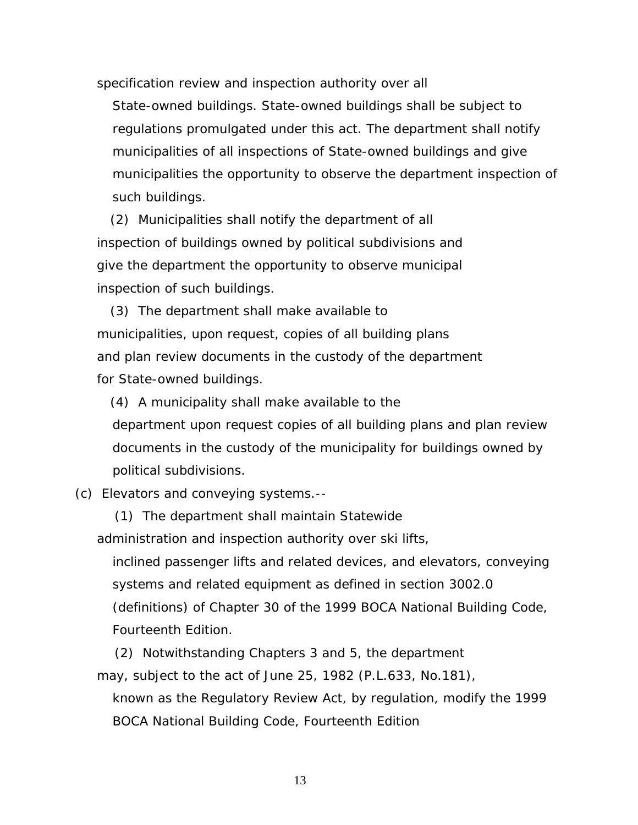specification review and inspection authority over all

State-owned buildings. State-owned buildings shall be subject to regulations promulgated under this act. The department shall notify municipalities of all inspections of State-owned buildings and give municipalities the opportunity to observe the department inspection of such buildings.

 (2) Municipalities shall notify the department of all inspection of buildings owned by political subdivisions and give the department the opportunity to observe municipal inspection of such buildings.

 (3) The department shall make available to municipalities, upon request, copies of all building plans and plan review documents in the custody of the department for State-owned buildings.

 (4) A municipality shall make available to the department upon request copies of all building plans and plan review documents in the custody of the municipality for buildings owned by political subdivisions.

(c) Elevators and conveying systems.--

 (1) The department shall maintain Statewide administration and inspection authority over ski lifts,

inclined passenger lifts and related devices, and elevators, conveying systems and related equipment as defined in section 3002.0 (definitions) of Chapter 30 of the 1999 BOCA National Building Code, Fourteenth Edition.

 (2) Notwithstanding Chapters 3 and 5, the department may, subject to the act of June 25, 1982 (P.L.633, No.181), known as the Regulatory Review Act, by regulation, modify the 1999

BOCA National Building Code, Fourteenth Edition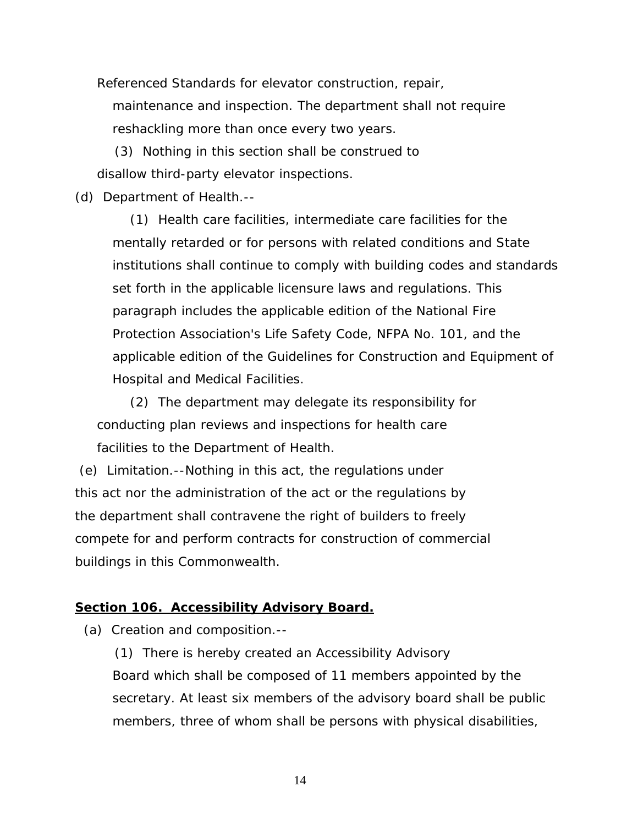Referenced Standards for elevator construction, repair,

maintenance and inspection. The department shall not require reshackling more than once every two years.

 (3) Nothing in this section shall be construed to disallow third-party elevator inspections.

(d) Department of Health.--

 (1) Health care facilities, intermediate care facilities for the mentally retarded or for persons with related conditions and State institutions shall continue to comply with building codes and standards set forth in the applicable licensure laws and regulations. This paragraph includes the applicable edition of the National Fire Protection Association's Life Safety Code, NFPA No. 101, and the applicable edition of the Guidelines for Construction and Equipment of Hospital and Medical Facilities.

 (2) The department may delegate its responsibility for conducting plan reviews and inspections for health care facilities to the Department of Health.

 (e) Limitation.--Nothing in this act, the regulations under this act nor the administration of the act or the regulations by the department shall contravene the right of builders to freely compete for and perform contracts for construction of commercial buildings in this Commonwealth.

# **Section 106. Accessibility Advisory Board.**

(a) Creation and composition.--

 (1) There is hereby created an Accessibility Advisory Board which shall be composed of 11 members appointed by the secretary. At least six members of the advisory board shall be public members, three of whom shall be persons with physical disabilities,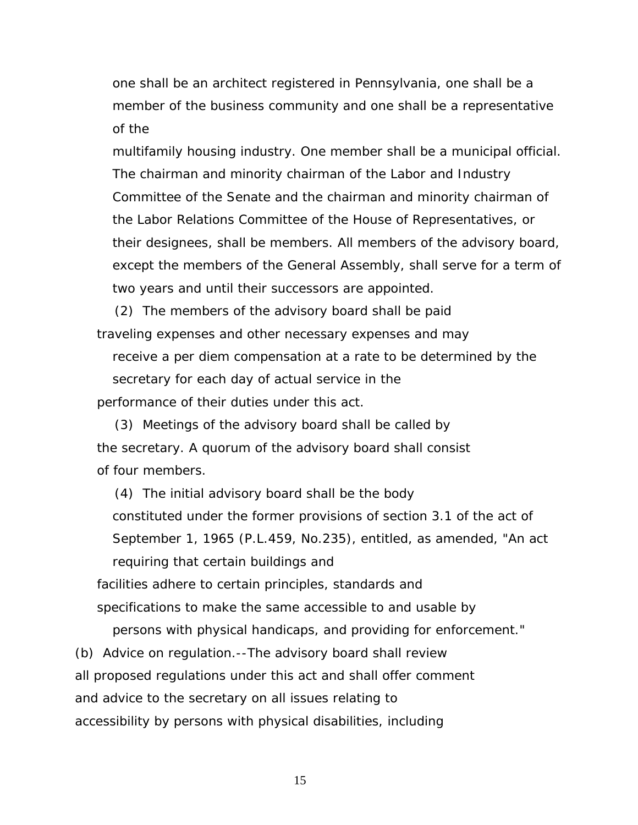one shall be an architect registered in Pennsylvania, one shall be a member of the business community and one shall be a representative of the

multifamily housing industry. One member shall be a municipal official. The chairman and minority chairman of the Labor and Industry Committee of the Senate and the chairman and minority chairman of the Labor Relations Committee of the House of Representatives, or their designees, shall be members. All members of the advisory board, except the members of the General Assembly, shall serve for a term of two years and until their successors are appointed.

 (2) The members of the advisory board shall be paid traveling expenses and other necessary expenses and may

receive a per diem compensation at a rate to be determined by the secretary for each day of actual service in the performance of their duties under this act.

 (3) Meetings of the advisory board shall be called by the secretary. A quorum of the advisory board shall consist of four members.

 (4) The initial advisory board shall be the body constituted under the former provisions of section 3.1 of the act of September 1, 1965 (P.L.459, No.235), entitled, as amended, "An act requiring that certain buildings and

 facilities adhere to certain principles, standards and specifications to make the same accessible to and usable by

persons with physical handicaps, and providing for enforcement." (b) Advice on regulation.--The advisory board shall review

all proposed regulations under this act and shall offer comment

and advice to the secretary on all issues relating to

accessibility by persons with physical disabilities, including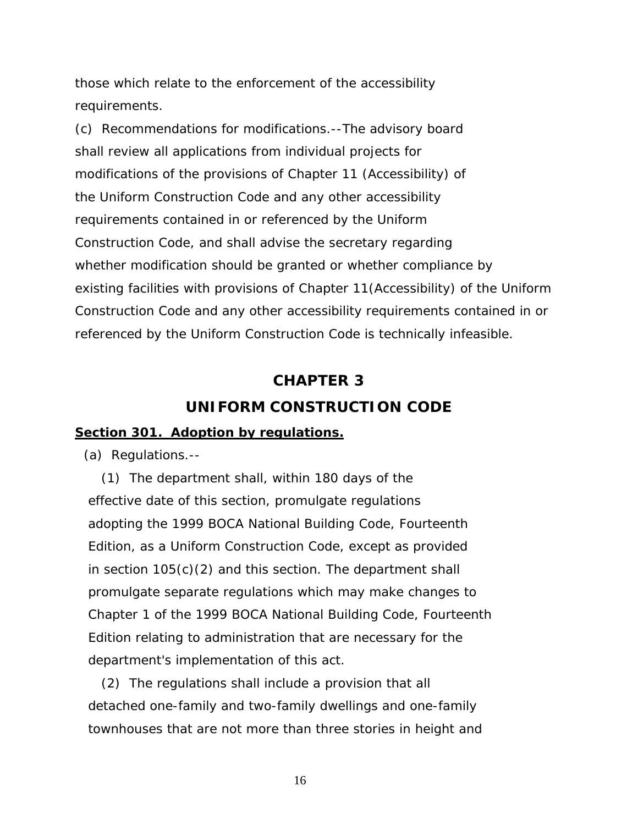those which relate to the enforcement of the accessibility requirements.

(c) Recommendations for modifications.--The advisory board shall review all applications from individual projects for modifications of the provisions of Chapter 11 (Accessibility) of the Uniform Construction Code and any other accessibility requirements contained in or referenced by the Uniform Construction Code, and shall advise the secretary regarding whether modification should be granted or whether compliance by existing facilities with provisions of Chapter 11(Accessibility) of the Uniform Construction Code and any other accessibility requirements contained in or referenced by the Uniform Construction Code is technically infeasible.

# **CHAPTER 3**

# **UNIFORM CONSTRUCTION CODE**

### **Section 301. Adoption by regulations.**

(a) Regulations.--

 (1) The department shall, within 180 days of the effective date of this section, promulgate regulations adopting the 1999 BOCA National Building Code, Fourteenth Edition, as a Uniform Construction Code, except as provided in section 105(c)(2) and this section. The department shall promulgate separate regulations which may make changes to Chapter 1 of the 1999 BOCA National Building Code, Fourteenth Edition relating to administration that are necessary for the department's implementation of this act.

 (2) The regulations shall include a provision that all detached one-family and two-family dwellings and one-family townhouses that are not more than three stories in height and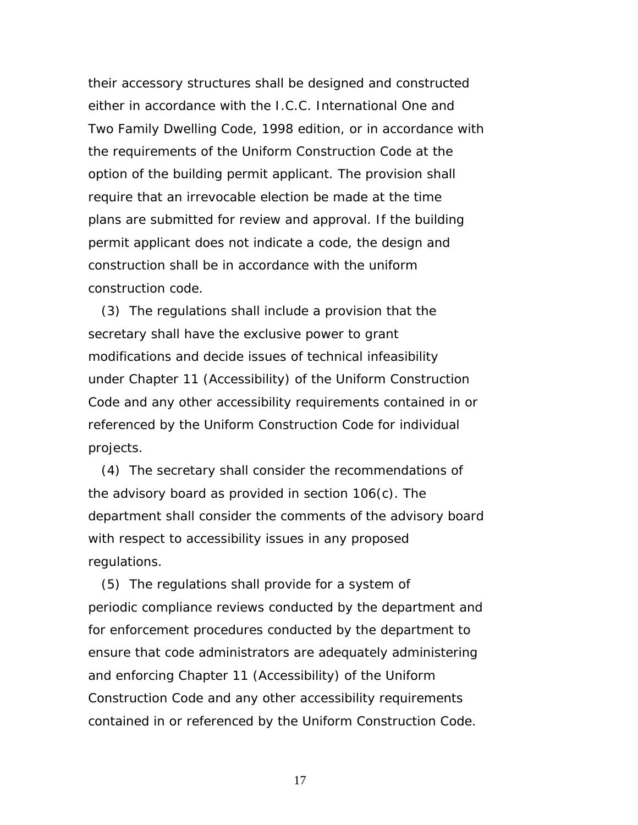their accessory structures shall be designed and constructed either in accordance with the I.C.C. International One and Two Family Dwelling Code, 1998 edition, or in accordance with the requirements of the Uniform Construction Code at the option of the building permit applicant. The provision shall require that an irrevocable election be made at the time plans are submitted for review and approval. If the building permit applicant does not indicate a code, the design and construction shall be in accordance with the uniform construction code.

 (3) The regulations shall include a provision that the secretary shall have the exclusive power to grant modifications and decide issues of technical infeasibility under Chapter 11 (Accessibility) of the Uniform Construction Code and any other accessibility requirements contained in or referenced by the Uniform Construction Code for individual projects.

 (4) The secretary shall consider the recommendations of the advisory board as provided in section 106(c). The department shall consider the comments of the advisory board with respect to accessibility issues in any proposed regulations.

 (5) The regulations shall provide for a system of periodic compliance reviews conducted by the department and for enforcement procedures conducted by the department to ensure that code administrators are adequately administering and enforcing Chapter 11 (Accessibility) of the Uniform Construction Code and any other accessibility requirements contained in or referenced by the Uniform Construction Code.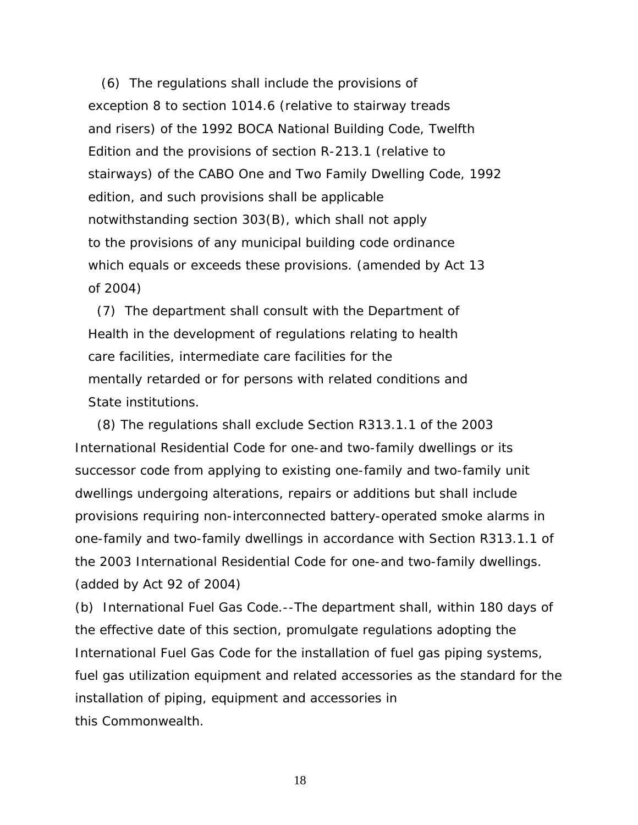(6) The regulations shall include the provisions of exception 8 to section 1014.6 (relative to stairway treads and risers) of the 1992 BOCA National Building Code, Twelfth Edition and the provisions of section R-213.1 (relative to stairways) of the CABO One and Two Family Dwelling Code, 1992 edition, and such provisions shall be applicable notwithstanding section 303(B), which shall not apply to the provisions of any municipal building code ordinance which equals or exceeds these provisions. *(amended by Act 13 of 2004)*

 (7) The department shall consult with the Department of Health in the development of regulations relating to health care facilities, intermediate care facilities for the mentally retarded or for persons with related conditions and State institutions.

 (8) The regulations shall exclude Section R313.1.1 of the 2003 International Residential Code for one-and two-family dwellings or its successor code from applying to existing one-family and two-family unit dwellings undergoing alterations, repairs or additions but shall include provisions requiring non-interconnected battery-operated smoke alarms in one-family and two-family dwellings in accordance with Section R313.1.1 of the 2003 International Residential Code for one-and two-family dwellings. *(added by Act 92 of 2004)* 

(b) International Fuel Gas Code.--The department shall, within 180 days of the effective date of this section, promulgate regulations adopting the International Fuel Gas Code for the installation of fuel gas piping systems, fuel gas utilization equipment and related accessories as the standard for the installation of piping, equipment and accessories in this Commonwealth.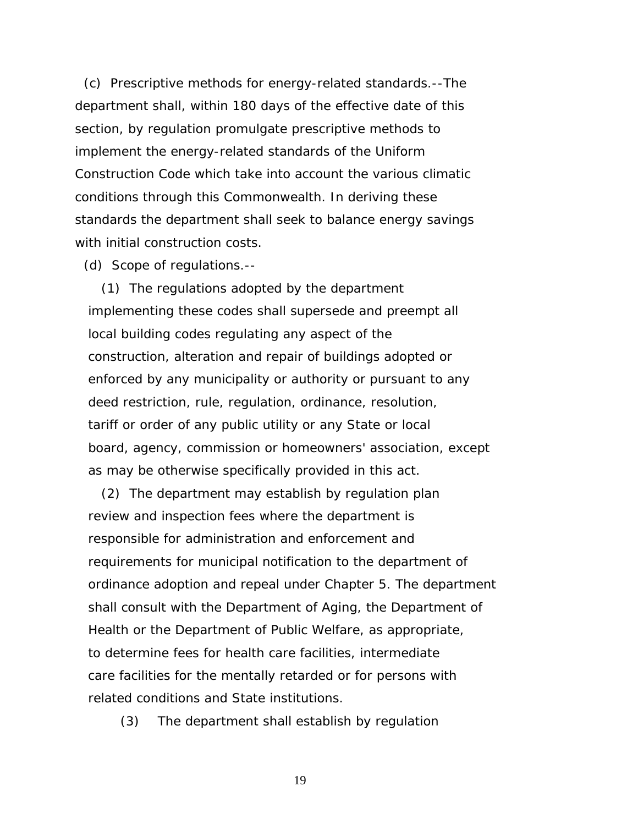(c) Prescriptive methods for energy-related standards.--The department shall, within 180 days of the effective date of this section, by regulation promulgate prescriptive methods to implement the energy-related standards of the Uniform Construction Code which take into account the various climatic conditions through this Commonwealth. In deriving these standards the department shall seek to balance energy savings with initial construction costs.

(d) Scope of regulations.--

 (1) The regulations adopted by the department implementing these codes shall supersede and preempt all local building codes regulating any aspect of the construction, alteration and repair of buildings adopted or enforced by any municipality or authority or pursuant to any deed restriction, rule, regulation, ordinance, resolution, tariff or order of any public utility or any State or local board, agency, commission or homeowners' association, except as may be otherwise specifically provided in this act.

 (2) The department may establish by regulation plan review and inspection fees where the department is responsible for administration and enforcement and requirements for municipal notification to the department of ordinance adoption and repeal under Chapter 5. The department shall consult with the Department of Aging, the Department of Health or the Department of Public Welfare, as appropriate, to determine fees for health care facilities, intermediate care facilities for the mentally retarded or for persons with related conditions and State institutions.

(3) The department shall establish by regulation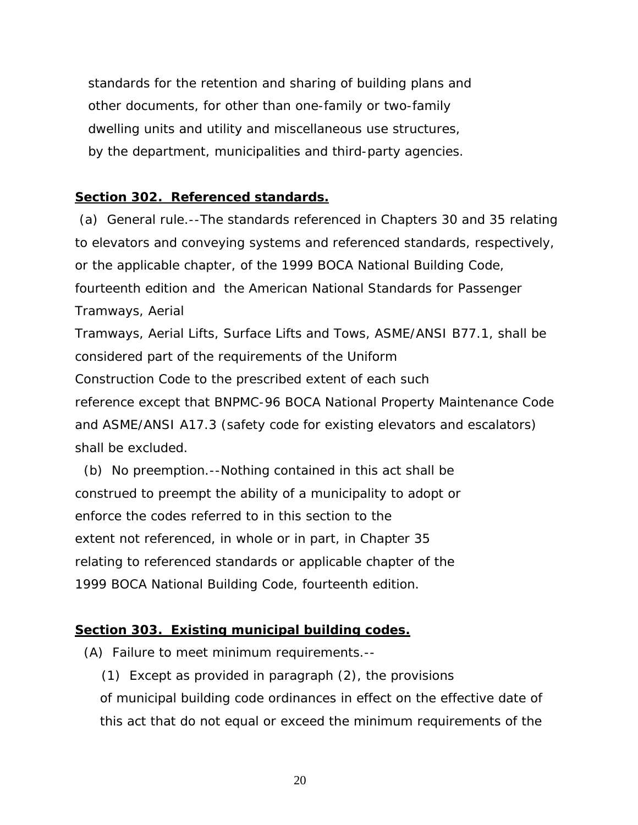standards for the retention and sharing of building plans and other documents, for other than one-family or two-family dwelling units and utility and miscellaneous use structures, by the department, municipalities and third-party agencies.

# **Section 302. Referenced standards.**

 (a) General rule.--The standards referenced in Chapters 30 and 35 relating to elevators and conveying systems and referenced standards, respectively, or the applicable chapter, of the 1999 BOCA National Building Code, fourteenth edition and the American National Standards for Passenger Tramways, Aerial Tramways, Aerial Lifts, Surface Lifts and Tows, ASME/ANSI B77.1, shall be considered part of the requirements of the Uniform Construction Code to the prescribed extent of each such reference except that BNPMC-96 BOCA National Property Maintenance Code and ASME/ANSI A17.3 (safety code for existing elevators and escalators)

shall be excluded.

 (b) No preemption.--Nothing contained in this act shall be construed to preempt the ability of a municipality to adopt or enforce the codes referred to in this section to the extent not referenced, in whole or in part, in Chapter 35 relating to referenced standards or applicable chapter of the 1999 BOCA National Building Code, fourteenth edition.

# **Section 303. Existing municipal building codes.**

(A) Failure to meet minimum requirements.--

(1) Except as provided in paragraph (2), the provisions

of municipal building code ordinances in effect on the effective date of this act that do not equal or exceed the minimum requirements of the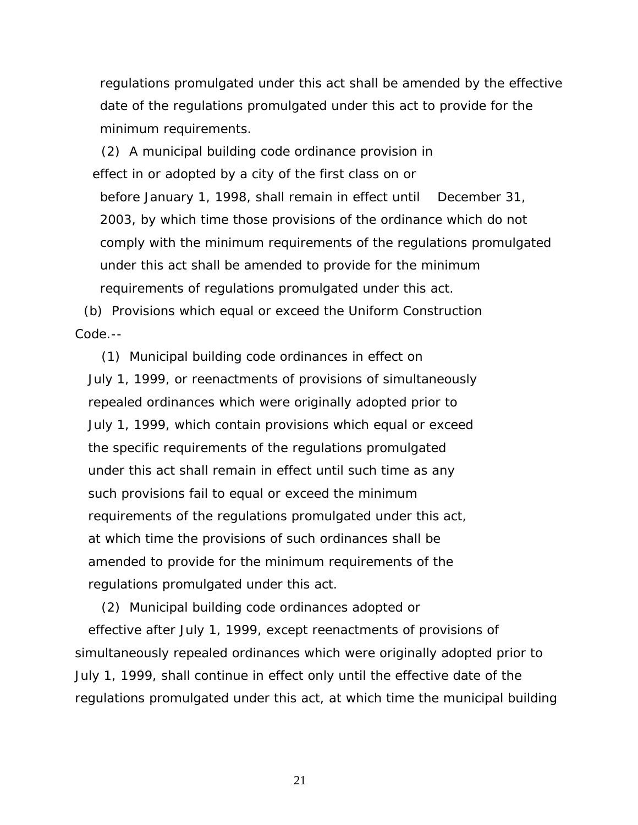regulations promulgated under this act shall be amended by the effective date of the regulations promulgated under this act to provide for the minimum requirements.

 (2) A municipal building code ordinance provision in effect in or adopted by a city of the first class on or before January 1, 1998, shall remain in effect until December 31, 2003, by which time those provisions of the ordinance which do not comply with the minimum requirements of the regulations promulgated under this act shall be amended to provide for the minimum requirements of regulations promulgated under this act.

 (b) Provisions which equal or exceed the Uniform Construction Code.--

 (1) Municipal building code ordinances in effect on July 1, 1999, or reenactments of provisions of simultaneously repealed ordinances which were originally adopted prior to July 1, 1999, which contain provisions which equal or exceed the specific requirements of the regulations promulgated under this act shall remain in effect until such time as any such provisions fail to equal or exceed the minimum requirements of the regulations promulgated under this act, at which time the provisions of such ordinances shall be amended to provide for the minimum requirements of the regulations promulgated under this act.

 (2) Municipal building code ordinances adopted or effective after July 1, 1999, except reenactments of provisions of simultaneously repealed ordinances which were originally adopted prior to July 1, 1999, shall continue in effect only until the effective date of the regulations promulgated under this act, at which time the municipal building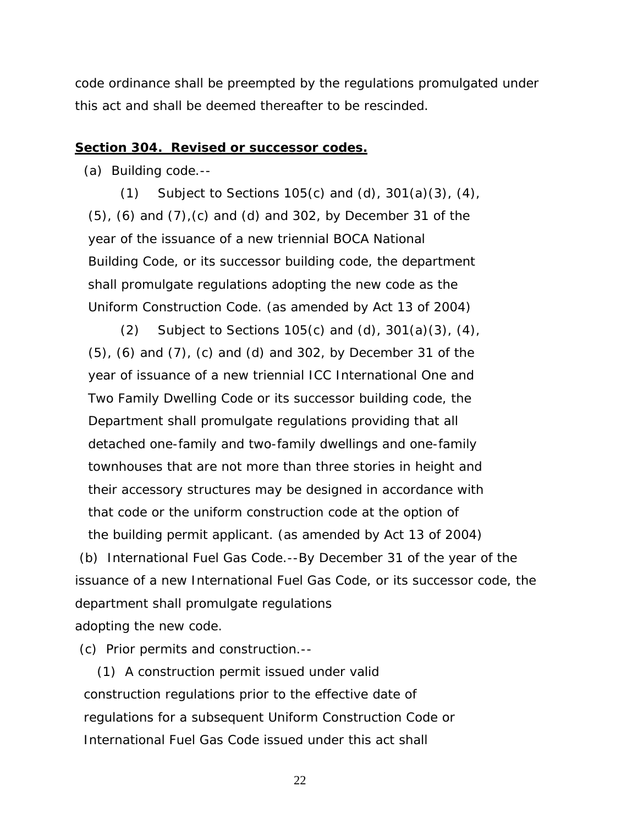code ordinance shall be preempted by the regulations promulgated under this act and shall be deemed thereafter to be rescinded.

#### **Section 304. Revised or successor codes.**

(a) Building code.--

(1) Subject to Sections 105(c) and (d),  $301(a)(3)$ ,  $(4)$ , (5), (6) and (7),(c) and (d) and 302, by December 31 of the year of the issuance of a new triennial BOCA National Building Code, or its successor building code, the department shall promulgate regulations adopting the new code as the Uniform Construction Code. *(as amended by Act 13 of 2004)*

(2) Subject to Sections 105(c) and (d),  $301(a)(3)$ ,  $(4)$ , (5), (6) and (7), (c) and (d) and 302, by December 31 of the year of issuance of a new triennial ICC International One and Two Family Dwelling Code or its successor building code, the Department shall promulgate regulations providing that all detached one-family and two-family dwellings and one-family townhouses that are not more than three stories in height and their accessory structures may be designed in accordance with that code or the uniform construction code at the option of the building permit applicant. *(as amended by Act 13 of 2004)* 

 (b) International Fuel Gas Code.--By December 31 of the year of the issuance of a new International Fuel Gas Code, or its successor code, the department shall promulgate regulations adopting the new code.

(c) Prior permits and construction.--

 (1) A construction permit issued under valid construction regulations prior to the effective date of regulations for a subsequent Uniform Construction Code or International Fuel Gas Code issued under this act shall

<u>22</u>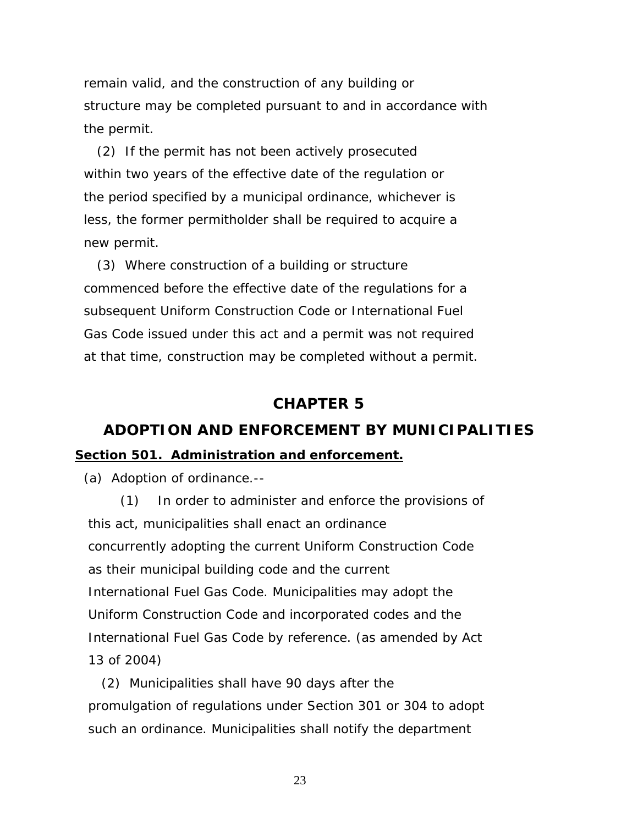remain valid, and the construction of any building or structure may be completed pursuant to and in accordance with the permit.

 (2) If the permit has not been actively prosecuted within two years of the effective date of the regulation or the period specified by a municipal ordinance, whichever is less, the former permitholder shall be required to acquire a new permit.

 (3) Where construction of a building or structure commenced before the effective date of the regulations for a subsequent Uniform Construction Code or International Fuel Gas Code issued under this act and a permit was not required at that time, construction may be completed without a permit.

# **CHAPTER 5**

# **ADOPTION AND ENFORCEMENT BY MUNICIPALITIES Section 501. Administration and enforcement.**

(a) Adoption of ordinance.--

(1) In order to administer and enforce the provisions of this act, municipalities shall enact an ordinance concurrently adopting the current Uniform Construction Code as their municipal building code and the current International Fuel Gas Code. Municipalities may adopt the Uniform Construction Code and incorporated codes and the International Fuel Gas Code by reference. *(as amended by Act 13 of 2004)* 

 (2) Municipalities shall have 90 days after the promulgation of regulations under Section 301 or 304 to adopt such an ordinance. Municipalities shall notify the department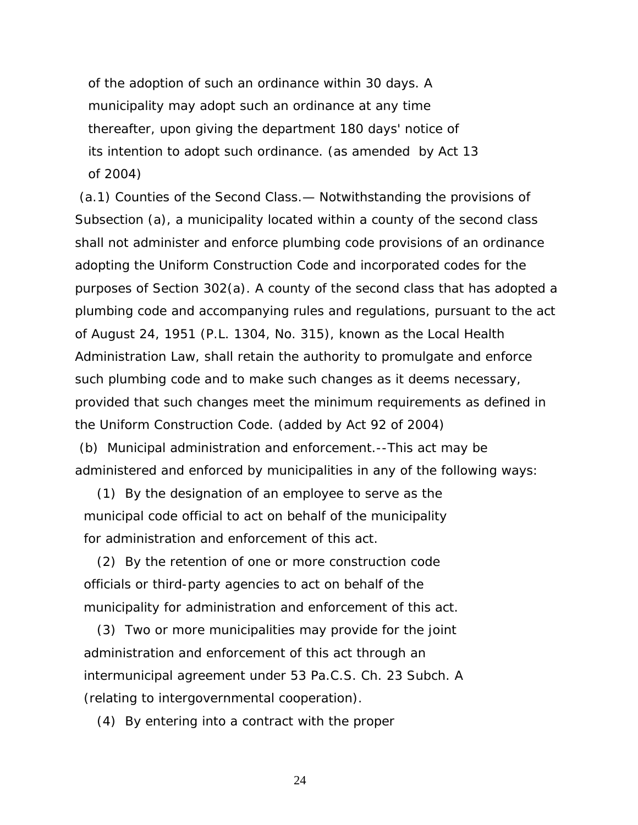of the adoption of such an ordinance within 30 days. A municipality may adopt such an ordinance at any time thereafter, upon giving the department 180 days' notice of its intention to adopt such ordinance. *(as amended by Act 13 of 2004)*

 (a.1) Counties of the Second Class.— Notwithstanding the provisions of Subsection (a), a municipality located within a county of the second class shall not administer and enforce plumbing code provisions of an ordinance adopting the Uniform Construction Code and incorporated codes for the purposes of Section 302(a). A county of the second class that has adopted a plumbing code and accompanying rules and regulations, pursuant to the act of August 24, 1951 (P.L. 1304, No. 315), known as the Local Health Administration Law, shall retain the authority to promulgate and enforce such plumbing code and to make such changes as it deems necessary, provided that such changes meet the minimum requirements as defined in the Uniform Construction Code. *(added by Act 92 of 2004)* 

 (b) Municipal administration and enforcement.--This act may be administered and enforced by municipalities in any of the following ways:

 (1) By the designation of an employee to serve as the municipal code official to act on behalf of the municipality for administration and enforcement of this act.

 (2) By the retention of one or more construction code officials or third-party agencies to act on behalf of the municipality for administration and enforcement of this act.

 (3) Two or more municipalities may provide for the joint administration and enforcement of this act through an intermunicipal agreement under 53 Pa.C.S. Ch. 23 Subch. A (relating to intergovernmental cooperation).

(4) By entering into a contract with the proper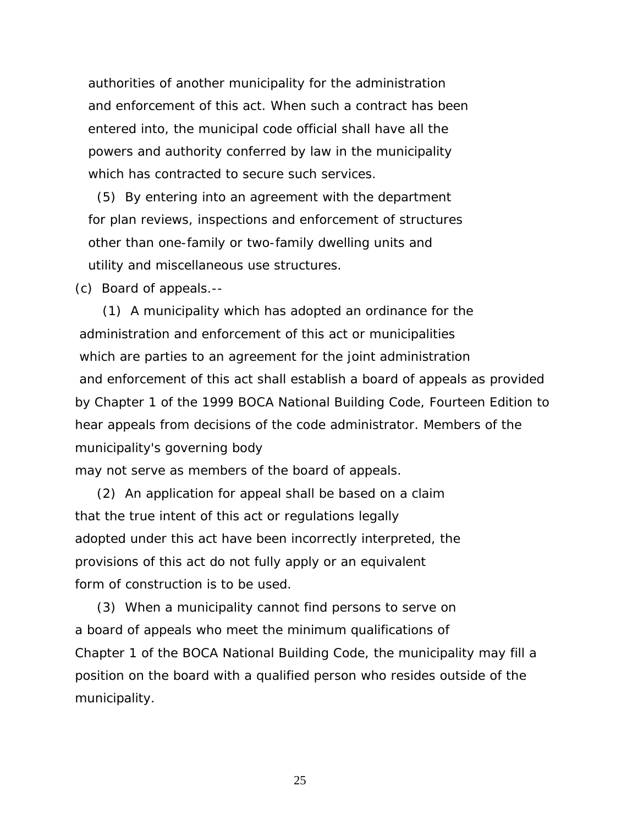authorities of another municipality for the administration and enforcement of this act. When such a contract has been entered into, the municipal code official shall have all the powers and authority conferred by law in the municipality which has contracted to secure such services.

 (5) By entering into an agreement with the department for plan reviews, inspections and enforcement of structures other than one-family or two-family dwelling units and utility and miscellaneous use structures.

(c) Board of appeals.--

 (1) A municipality which has adopted an ordinance for the administration and enforcement of this act or municipalities which are parties to an agreement for the joint administration and enforcement of this act shall establish a board of appeals as provided by Chapter 1 of the 1999 BOCA National Building Code, Fourteen Edition to hear appeals from decisions of the code administrator. Members of the municipality's governing body

may not serve as members of the board of appeals.

 (2) An application for appeal shall be based on a claim that the true intent of this act or regulations legally adopted under this act have been incorrectly interpreted, the provisions of this act do not fully apply or an equivalent form of construction is to be used.

 (3) When a municipality cannot find persons to serve on a board of appeals who meet the minimum qualifications of Chapter 1 of the BOCA National Building Code, the municipality may fill a position on the board with a qualified person who resides outside of the municipality.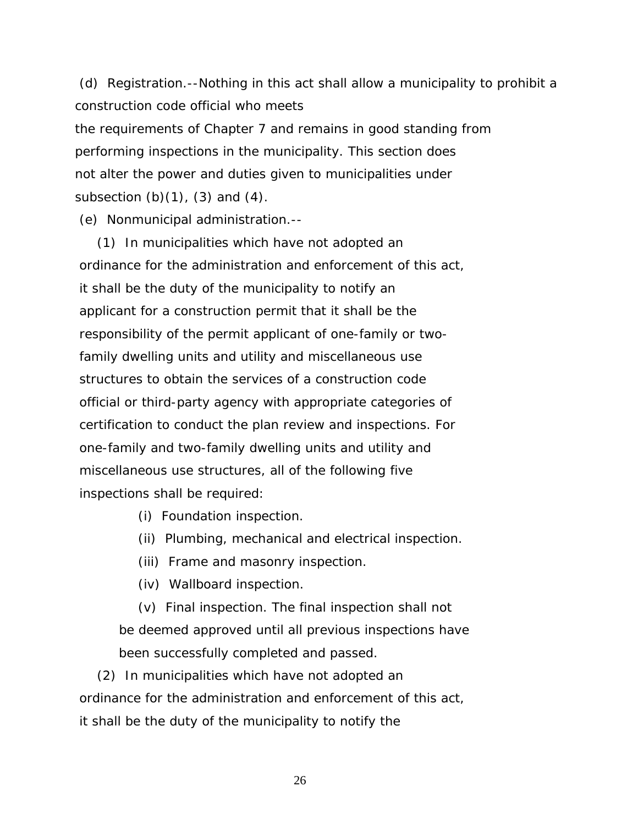(d) Registration.--Nothing in this act shall allow a municipality to prohibit a construction code official who meets the requirements of Chapter 7 and remains in good standing from performing inspections in the municipality. This section does not alter the power and duties given to municipalities under subsection  $(b)(1)$ ,  $(3)$  and  $(4)$ .

(e) Nonmunicipal administration.--

 (1) In municipalities which have not adopted an ordinance for the administration and enforcement of this act, it shall be the duty of the municipality to notify an applicant for a construction permit that it shall be the responsibility of the permit applicant of one-family or two family dwelling units and utility and miscellaneous use structures to obtain the services of a construction code official or third-party agency with appropriate categories of certification to conduct the plan review and inspections. For one-family and two-family dwelling units and utility and miscellaneous use structures, all of the following five inspections shall be required:

(i) Foundation inspection.

(ii) Plumbing, mechanical and electrical inspection.

(iii) Frame and masonry inspection.

(iv) Wallboard inspection.

 (v) Final inspection. The final inspection shall not be deemed approved until all previous inspections have been successfully completed and passed.

 (2) In municipalities which have not adopted an ordinance for the administration and enforcement of this act, it shall be the duty of the municipality to notify the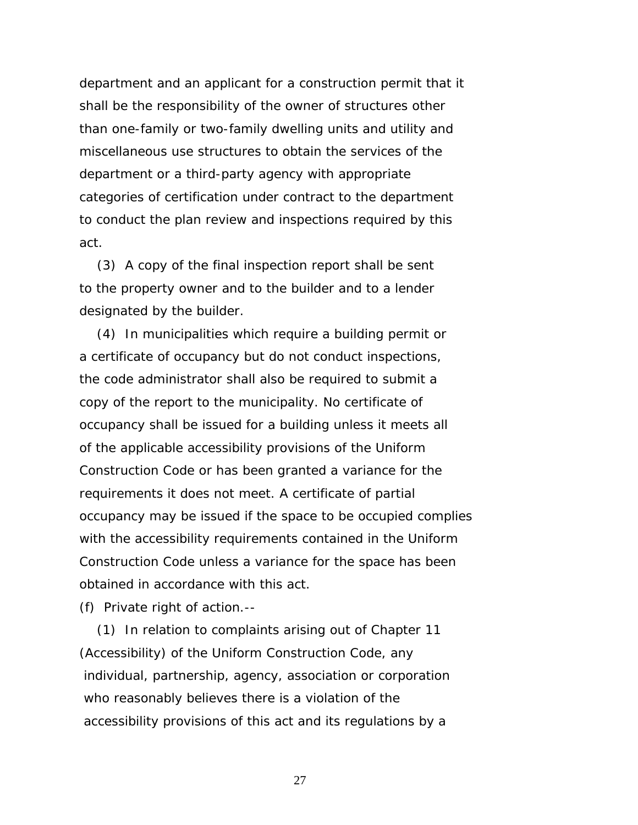department and an applicant for a construction permit that it shall be the responsibility of the owner of structures other than one-family or two-family dwelling units and utility and miscellaneous use structures to obtain the services of the department or a third-party agency with appropriate categories of certification under contract to the department to conduct the plan review and inspections required by this act.

 (3) A copy of the final inspection report shall be sent to the property owner and to the builder and to a lender designated by the builder.

 (4) In municipalities which require a building permit or a certificate of occupancy but do not conduct inspections, the code administrator shall also be required to submit a copy of the report to the municipality. No certificate of occupancy shall be issued for a building unless it meets all of the applicable accessibility provisions of the Uniform Construction Code or has been granted a variance for the requirements it does not meet. A certificate of partial occupancy may be issued if the space to be occupied complies with the accessibility requirements contained in the Uniform Construction Code unless a variance for the space has been obtained in accordance with this act.

(f) Private right of action.--

 (1) In relation to complaints arising out of Chapter 11 (Accessibility) of the Uniform Construction Code, any individual, partnership, agency, association or corporation who reasonably believes there is a violation of the accessibility provisions of this act and its regulations by a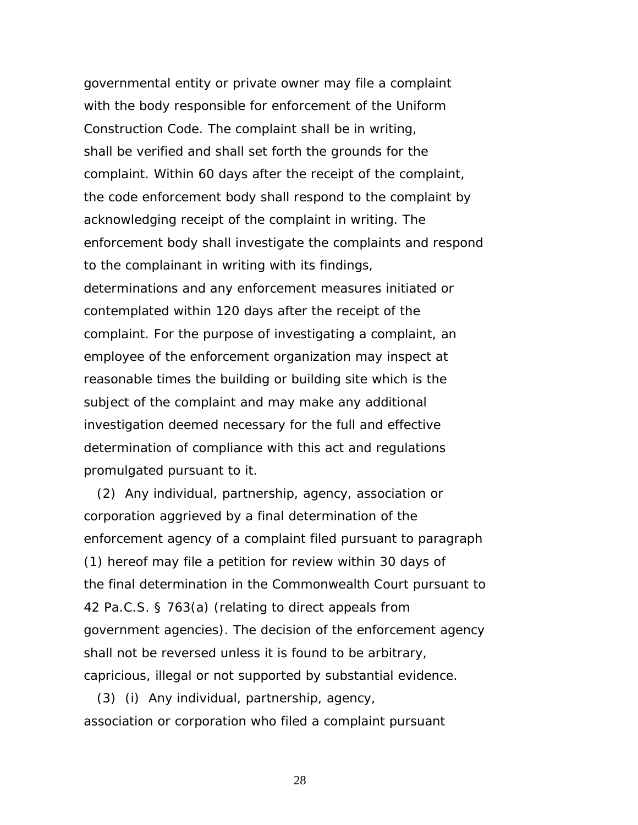governmental entity or private owner may file a complaint with the body responsible for enforcement of the Uniform Construction Code. The complaint shall be in writing, shall be verified and shall set forth the grounds for the complaint. Within 60 days after the receipt of the complaint, the code enforcement body shall respond to the complaint by acknowledging receipt of the complaint in writing. The enforcement body shall investigate the complaints and respond to the complainant in writing with its findings, determinations and any enforcement measures initiated or contemplated within 120 days after the receipt of the complaint. For the purpose of investigating a complaint, an employee of the enforcement organization may inspect at reasonable times the building or building site which is the subject of the complaint and may make any additional investigation deemed necessary for the full and effective determination of compliance with this act and regulations promulgated pursuant to it.

 (2) Any individual, partnership, agency, association or corporation aggrieved by a final determination of the enforcement agency of a complaint filed pursuant to paragraph (1) hereof may file a petition for review within 30 days of the final determination in the Commonwealth Court pursuant to 42 Pa.C.S. § 763(a) (relating to direct appeals from government agencies). The decision of the enforcement agency shall not be reversed unless it is found to be arbitrary, capricious, illegal or not supported by substantial evidence.

 (3) (i) Any individual, partnership, agency, association or corporation who filed a complaint pursuant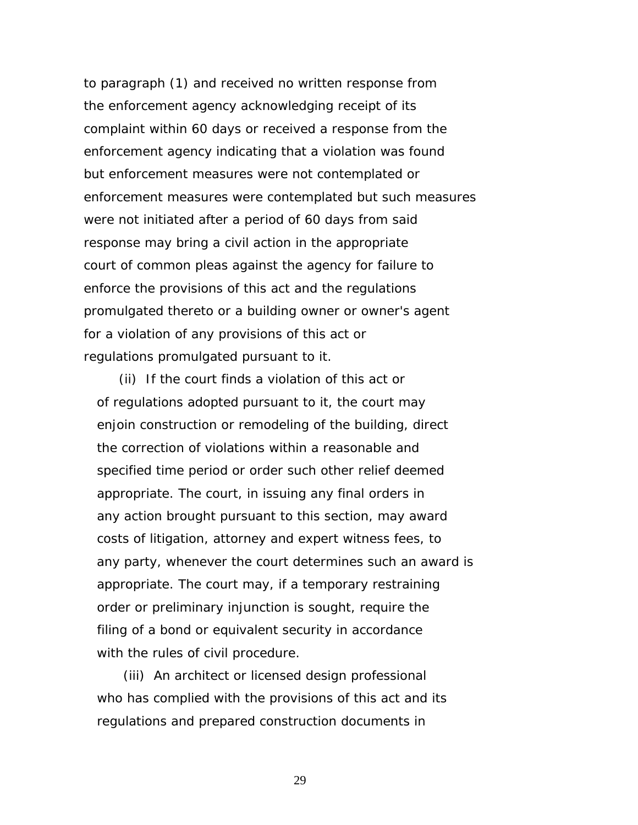to paragraph (1) and received no written response from the enforcement agency acknowledging receipt of its complaint within 60 days or received a response from the enforcement agency indicating that a violation was found but enforcement measures were not contemplated or enforcement measures were contemplated but such measures were not initiated after a period of 60 days from said response may bring a civil action in the appropriate court of common pleas against the agency for failure to enforce the provisions of this act and the regulations promulgated thereto or a building owner or owner's agent for a violation of any provisions of this act or regulations promulgated pursuant to it.

 (ii) If the court finds a violation of this act or of regulations adopted pursuant to it, the court may enjoin construction or remodeling of the building, direct the correction of violations within a reasonable and specified time period or order such other relief deemed appropriate. The court, in issuing any final orders in any action brought pursuant to this section, may award costs of litigation, attorney and expert witness fees, to any party, whenever the court determines such an award is appropriate. The court may, if a temporary restraining order or preliminary injunction is sought, require the filing of a bond or equivalent security in accordance with the rules of civil procedure.

 (iii) An architect or licensed design professional who has complied with the provisions of this act and its regulations and prepared construction documents in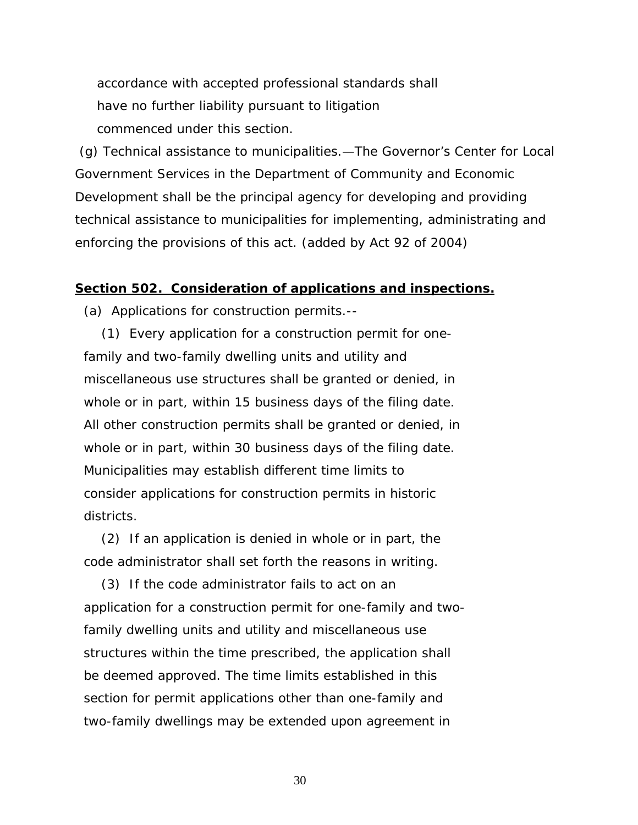accordance with accepted professional standards shall have no further liability pursuant to litigation commenced under this section.

 (g) Technical assistance to municipalities.—The Governor's Center for Local Government Services in the Department of Community and Economic Development shall be the principal agency for developing and providing technical assistance to municipalities for implementing, administrating and enforcing the provisions of this act. *(added by Act 92 of 2004)*

### **Section 502. Consideration of applications and inspections.**

(a) Applications for construction permits.--

 (1) Every application for a construction permit for one family and two-family dwelling units and utility and miscellaneous use structures shall be granted or denied, in whole or in part, within 15 business days of the filing date. All other construction permits shall be granted or denied, in whole or in part, within 30 business days of the filing date. Municipalities may establish different time limits to consider applications for construction permits in historic districts.

 (2) If an application is denied in whole or in part, the code administrator shall set forth the reasons in writing.

 (3) If the code administrator fails to act on an application for a construction permit for one-family and two family dwelling units and utility and miscellaneous use structures within the time prescribed, the application shall be deemed approved. The time limits established in this section for permit applications other than one-family and two-family dwellings may be extended upon agreement in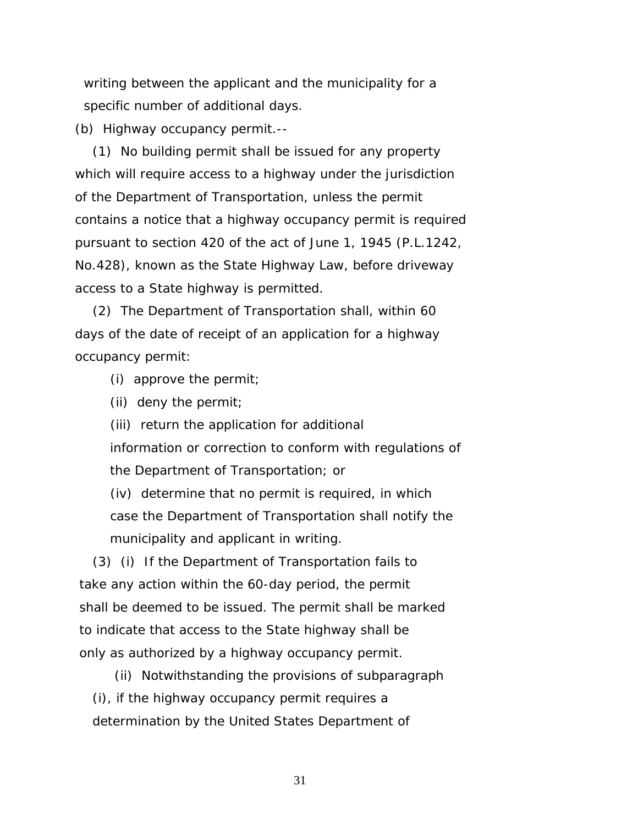writing between the applicant and the municipality for a specific number of additional days.

(b) Highway occupancy permit.--

 (1) No building permit shall be issued for any property which will require access to a highway under the jurisdiction of the Department of Transportation, unless the permit contains a notice that a highway occupancy permit is required pursuant to section 420 of the act of June 1, 1945 (P.L.1242, No.428), known as the State Highway Law, before driveway access to a State highway is permitted.

 (2) The Department of Transportation shall, within 60 days of the date of receipt of an application for a highway occupancy permit:

(i) approve the permit;

(ii) deny the permit;

 (iii) return the application for additional information or correction to conform with regulations of the Department of Transportation; or

 (iv) determine that no permit is required, in which case the Department of Transportation shall notify the municipality and applicant in writing.

 (3) (i) If the Department of Transportation fails to take any action within the 60-day period, the permit shall be deemed to be issued. The permit shall be marked to indicate that access to the State highway shall be only as authorized by a highway occupancy permit.

 (ii) Notwithstanding the provisions of subparagraph (i), if the highway occupancy permit requires a determination by the United States Department of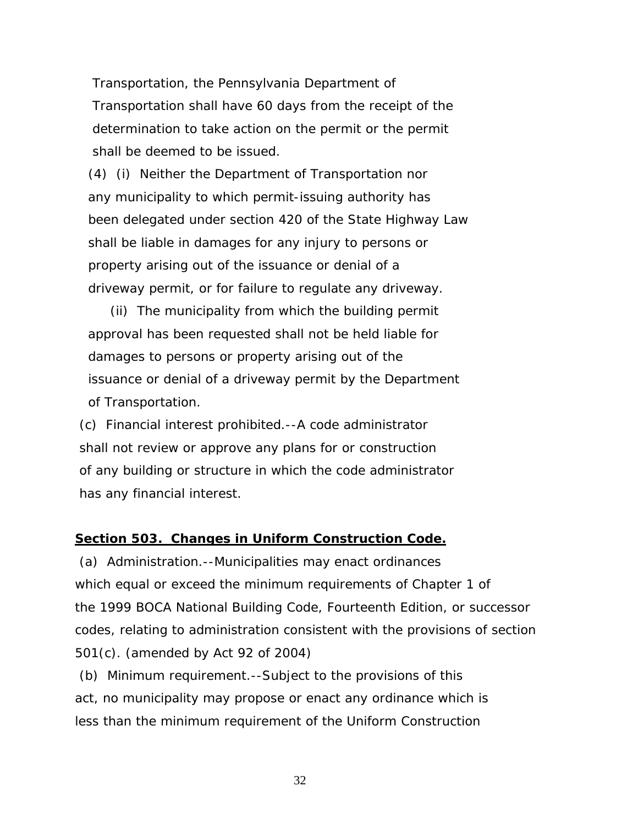Transportation, the Pennsylvania Department of Transportation shall have 60 days from the receipt of the determination to take action on the permit or the permit shall be deemed to be issued.

 (4) (i) Neither the Department of Transportation nor any municipality to which permit-issuing authority has been delegated under section 420 of the State Highway Law shall be liable in damages for any injury to persons or property arising out of the issuance or denial of a driveway permit, or for failure to regulate any driveway.

 (ii) The municipality from which the building permit approval has been requested shall not be held liable for damages to persons or property arising out of the issuance or denial of a driveway permit by the Department of Transportation.

 (c) Financial interest prohibited.--A code administrator shall not review or approve any plans for or construction of any building or structure in which the code administrator has any financial interest.

### **Section 503. Changes in Uniform Construction Code.**

 (a) Administration.--Municipalities may enact ordinances which equal or exceed the minimum requirements of Chapter 1 of the 1999 BOCA National Building Code, Fourteenth Edition, or successor codes, relating to administration consistent with the provisions of section 501(c). *(amended by Act 92 of 2004)* 

 (b) Minimum requirement.--Subject to the provisions of this act, no municipality may propose or enact any ordinance which is less than the minimum requirement of the Uniform Construction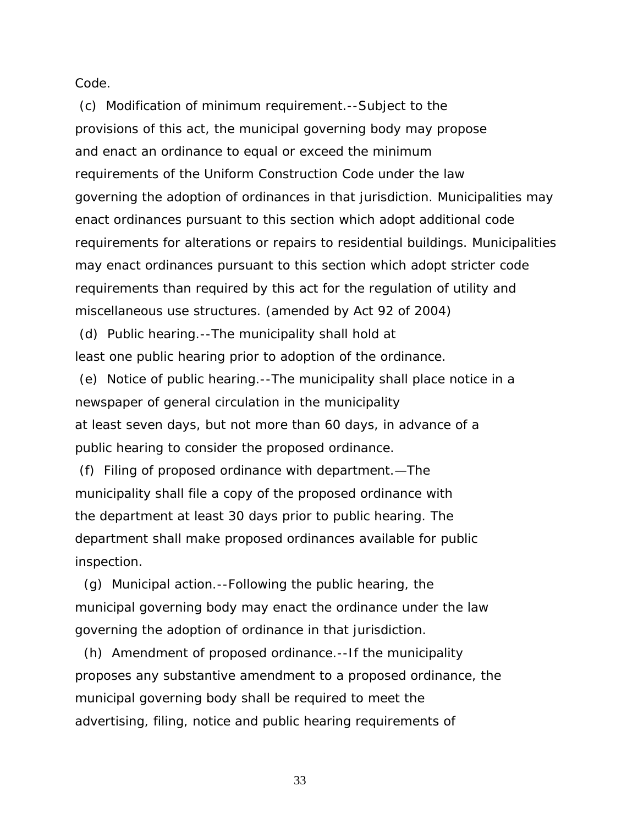Code.

 (c) Modification of minimum requirement.--Subject to the provisions of this act, the municipal governing body may propose and enact an ordinance to equal or exceed the minimum requirements of the Uniform Construction Code under the law governing the adoption of ordinances in that jurisdiction. Municipalities may enact ordinances pursuant to this section which adopt additional code requirements for alterations or repairs to residential buildings. Municipalities may enact ordinances pursuant to this section which adopt stricter code requirements than required by this act for the regulation of utility and miscellaneous use structures. *(amended by Act 92 of 2004)* 

 (d) Public hearing.--The municipality shall hold at least one public hearing prior to adoption of the ordinance.

 (e) Notice of public hearing.--The municipality shall place notice in a newspaper of general circulation in the municipality at least seven days, but not more than 60 days, in advance of a public hearing to consider the proposed ordinance.

 (f) Filing of proposed ordinance with department.—The municipality shall file a copy of the proposed ordinance with the department at least 30 days prior to public hearing. The department shall make proposed ordinances available for public inspection.

 (g) Municipal action.--Following the public hearing, the municipal governing body may enact the ordinance under the law governing the adoption of ordinance in that jurisdiction.

 (h) Amendment of proposed ordinance.--If the municipality proposes any substantive amendment to a proposed ordinance, the municipal governing body shall be required to meet the advertising, filing, notice and public hearing requirements of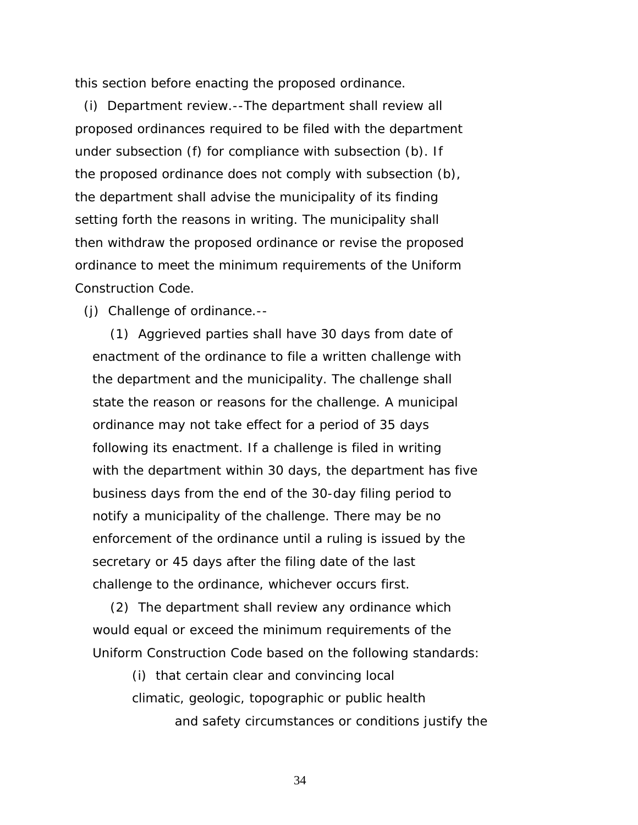this section before enacting the proposed ordinance.

 (i) Department review.--The department shall review all proposed ordinances required to be filed with the department under subsection (f) for compliance with subsection (b). If the proposed ordinance does not comply with subsection (b), the department shall advise the municipality of its finding setting forth the reasons in writing. The municipality shall then withdraw the proposed ordinance or revise the proposed ordinance to meet the minimum requirements of the Uniform Construction Code.

(j) Challenge of ordinance.--

 (1) Aggrieved parties shall have 30 days from date of enactment of the ordinance to file a written challenge with the department and the municipality. The challenge shall state the reason or reasons for the challenge. A municipal ordinance may not take effect for a period of 35 days following its enactment. If a challenge is filed in writing with the department within 30 days, the department has five business days from the end of the 30-day filing period to notify a municipality of the challenge. There may be no enforcement of the ordinance until a ruling is issued by the secretary or 45 days after the filing date of the last challenge to the ordinance, whichever occurs first.

 (2) The department shall review any ordinance which would equal or exceed the minimum requirements of the Uniform Construction Code based on the following standards:

> (i) that certain clear and convincing local climatic, geologic, topographic or public health and safety circumstances or conditions justify the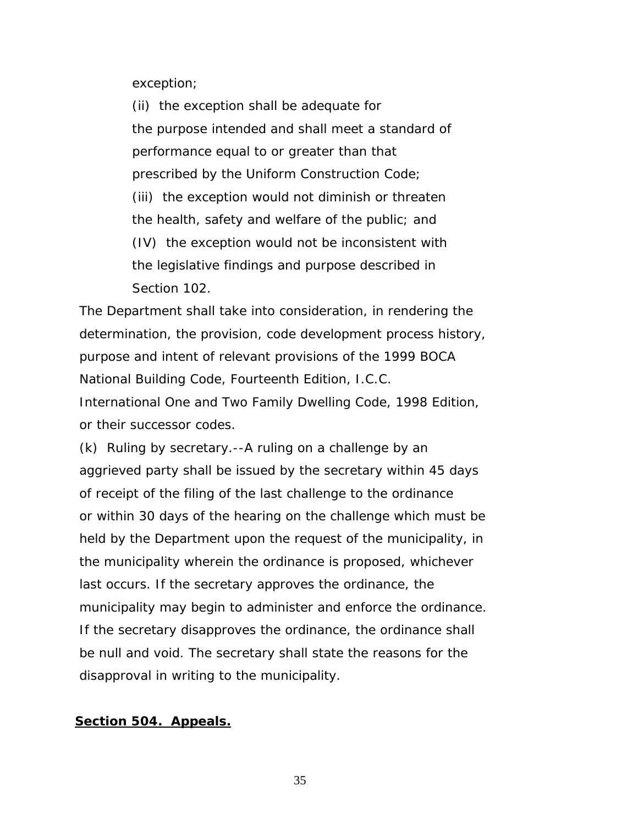exception;

 (ii) the exception shall be adequate for the purpose intended and shall meet a standard of performance equal to or greater than that prescribed by the Uniform Construction Code; (iii) the exception would not diminish or threaten the health, safety and welfare of the public; and (IV) the exception would not be inconsistent with the legislative findings and purpose described in Section 102.

 The Department shall take into consideration, in rendering the determination, the provision, code development process history, purpose and intent of relevant provisions of the 1999 BOCA National Building Code, Fourteenth Edition, I.C.C. International One and Two Family Dwelling Code, 1998 Edition, or their successor codes.

 (k) Ruling by secretary.--A ruling on a challenge by an aggrieved party shall be issued by the secretary within 45 days of receipt of the filing of the last challenge to the ordinance or within 30 days of the hearing on the challenge which must be held by the Department upon the request of the municipality, in the municipality wherein the ordinance is proposed, whichever last occurs. If the secretary approves the ordinance, the municipality may begin to administer and enforce the ordinance. If the secretary disapproves the ordinance, the ordinance shall be null and void. The secretary shall state the reasons for the disapproval in writing to the municipality.

### **Section 504. Appeals.**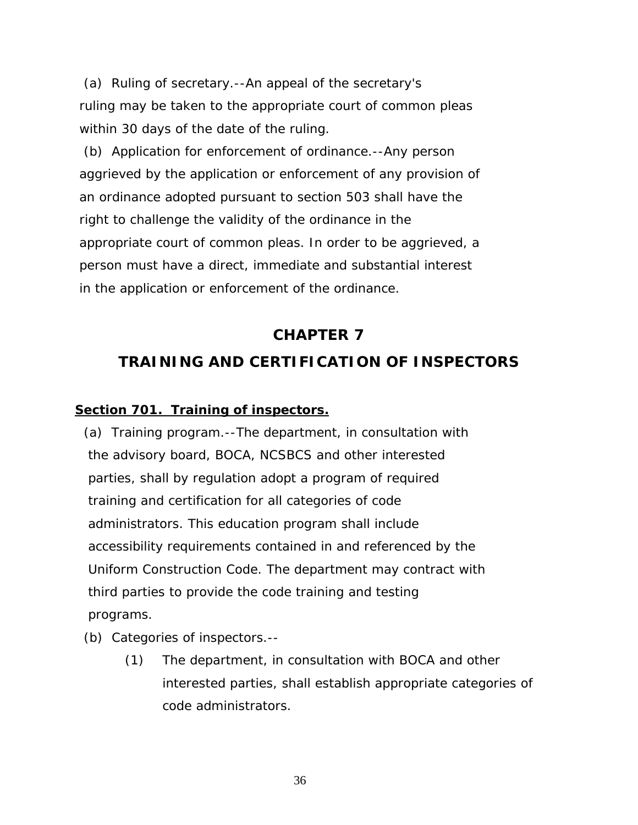(a) Ruling of secretary.--An appeal of the secretary's ruling may be taken to the appropriate court of common pleas within 30 days of the date of the ruling.

 (b) Application for enforcement of ordinance.--Any person aggrieved by the application or enforcement of any provision of an ordinance adopted pursuant to section 503 shall have the right to challenge the validity of the ordinance in the appropriate court of common pleas. In order to be aggrieved, a person must have a direct, immediate and substantial interest in the application or enforcement of the ordinance.

# **CHAPTER 7 TRAINING AND CERTIFICATION OF INSPECTORS**

# **Section 701. Training of inspectors.**

 (a) Training program.--The department, in consultation with the advisory board, BOCA, NCSBCS and other interested parties, shall by regulation adopt a program of required training and certification for all categories of code administrators. This education program shall include accessibility requirements contained in and referenced by the Uniform Construction Code. The department may contract with third parties to provide the code training and testing programs.

- (b) Categories of inspectors.--
	- (1) The department, in consultation with BOCA and other interested parties, shall establish appropriate categories of code administrators.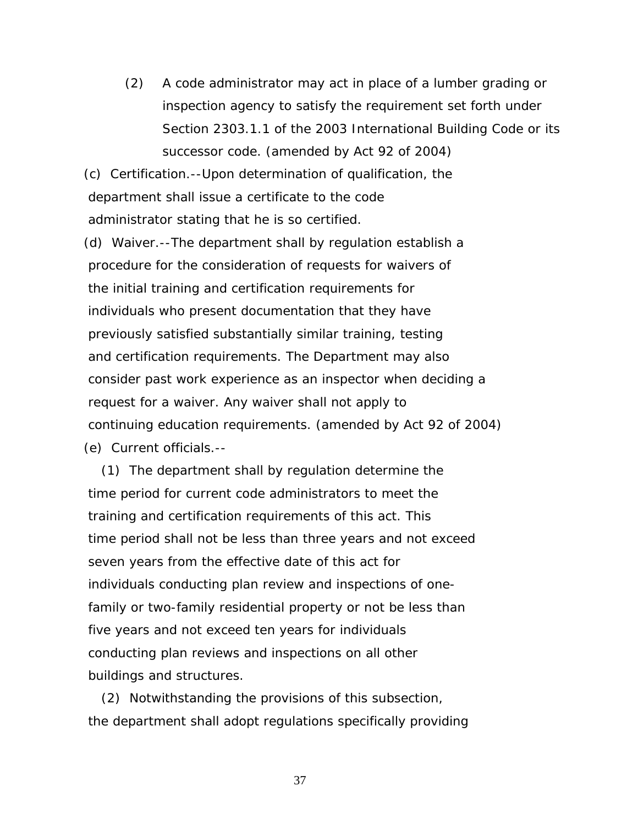(2) A code administrator may act in place of a lumber grading or inspection agency to satisfy the requirement set forth under Section 2303.1.1 of the 2003 International Building Code or its successor code. *(amended by Act 92 of 2004)*

 (c) Certification.--Upon determination of qualification, the department shall issue a certificate to the code administrator stating that he is so certified.

 (d) Waiver.--The department shall by regulation establish a procedure for the consideration of requests for waivers of the initial training and certification requirements for individuals who present documentation that they have previously satisfied substantially similar training, testing and certification requirements. The Department may also consider past work experience as an inspector when deciding a request for a waiver. Any waiver shall not apply to continuing education requirements. *(amended by Act 92 of 2004)* (e) Current officials.--

 (1) The department shall by regulation determine the time period for current code administrators to meet the training and certification requirements of this act. This time period shall not be less than three years and not exceed seven years from the effective date of this act for individuals conducting plan review and inspections of one family or two-family residential property or not be less than five years and not exceed ten years for individuals conducting plan reviews and inspections on all other buildings and structures.

 (2) Notwithstanding the provisions of this subsection, the department shall adopt regulations specifically providing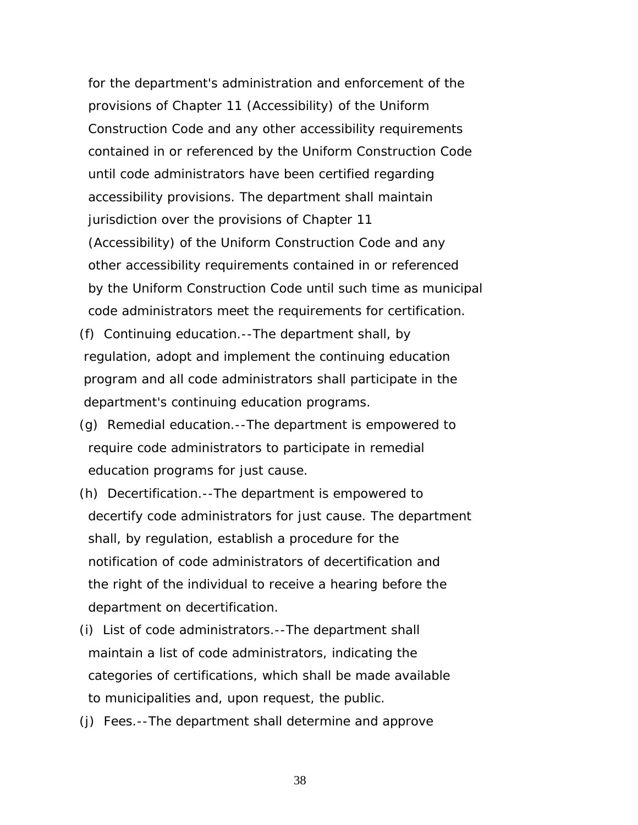for the department's administration and enforcement of the provisions of Chapter 11 (Accessibility) of the Uniform Construction Code and any other accessibility requirements contained in or referenced by the Uniform Construction Code until code administrators have been certified regarding accessibility provisions. The department shall maintain jurisdiction over the provisions of Chapter 11 (Accessibility) of the Uniform Construction Code and any other accessibility requirements contained in or referenced by the Uniform Construction Code until such time as municipal code administrators meet the requirements for certification.

- (f) Continuing education.--The department shall, by regulation, adopt and implement the continuing education program and all code administrators shall participate in the department's continuing education programs.
- (g) Remedial education.--The department is empowered to require code administrators to participate in remedial education programs for just cause.
- (h) Decertification.--The department is empowered to decertify code administrators for just cause. The department shall, by regulation, establish a procedure for the notification of code administrators of decertification and the right of the individual to receive a hearing before the department on decertification.
- (i) List of code administrators.--The department shall maintain a list of code administrators, indicating the categories of certifications, which shall be made available to municipalities and, upon request, the public.
- (j) Fees.--The department shall determine and approve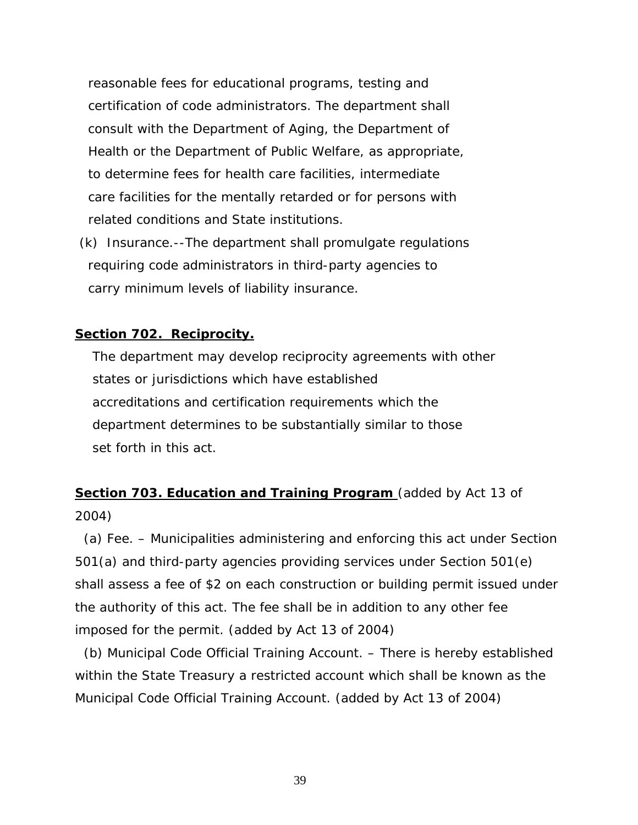reasonable fees for educational programs, testing and certification of code administrators. The department shall consult with the Department of Aging, the Department of Health or the Department of Public Welfare, as appropriate, to determine fees for health care facilities, intermediate care facilities for the mentally retarded or for persons with related conditions and State institutions.

 (k) Insurance.--The department shall promulgate regulations requiring code administrators in third-party agencies to carry minimum levels of liability insurance.

### **Section 702. Reciprocity.**

 The department may develop reciprocity agreements with other states or jurisdictions which have established accreditations and certification requirements which the department determines to be substantially similar to those set forth in this act.

# **Section 703. Education and Training Program** *(added by Act 13 of 2004)*

 (a) Fee. – Municipalities administering and enforcing this act under Section 501(a) and third-party agencies providing services under Section 501(e) shall assess a fee of \$2 on each construction or building permit issued under the authority of this act. The fee shall be in addition to any other fee imposed for the permit. *(added by Act 13 of 2004)*

 (b) Municipal Code Official Training Account. – There is hereby established within the State Treasury a restricted account which shall be known as the Municipal Code Official Training Account. *(added by Act 13 of 2004)*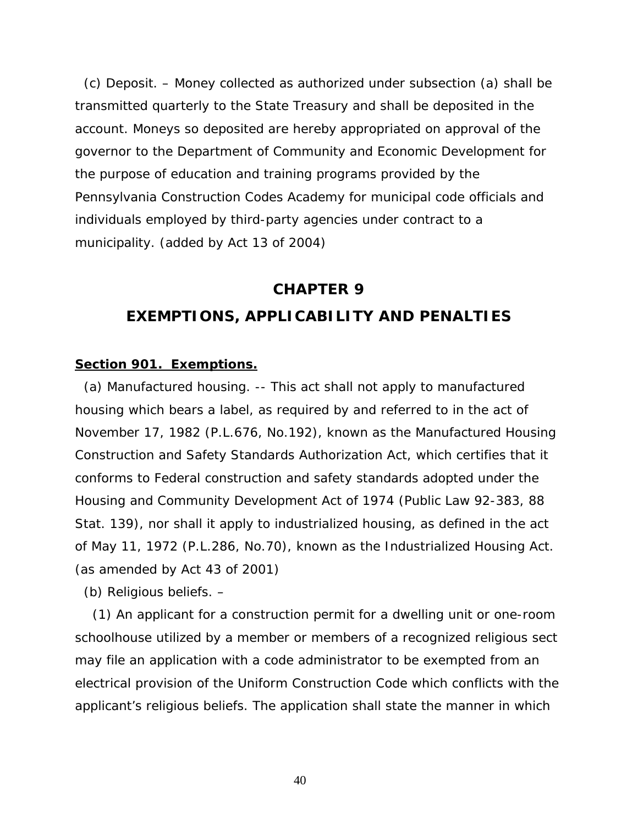(c) Deposit. – Money collected as authorized under subsection (a) shall be transmitted quarterly to the State Treasury and shall be deposited in the account. Moneys so deposited are hereby appropriated on approval of the governor to the Department of Community and Economic Development for the purpose of education and training programs provided by the Pennsylvania Construction Codes Academy for municipal code officials and individuals employed by third-party agencies under contract to a municipality. *(added by Act 13 of 2004)*

# **CHAPTER 9 EXEMPTIONS, APPLICABILITY AND PENALTIES**

### **Section 901. Exemptions.**

 (a) Manufactured housing. -- This act shall not apply to manufactured housing which bears a label, as required by and referred to in the act of November 17, 1982 (P.L.676, No.192), known as the Manufactured Housing Construction and Safety Standards Authorization Act, which certifies that it conforms to Federal construction and safety standards adopted under the Housing and Community Development Act of 1974 (Public Law 92-383, 88 Stat. 139), nor shall it apply to industrialized housing, as defined in the act of May 11, 1972 (P.L.286, No.70), known as the Industrialized Housing Act*. (as amended by Act 43 of 2001)* 

(b) Religious beliefs. –

 (1) An applicant for a construction permit for a dwelling unit or one-room schoolhouse utilized by a member or members of a recognized religious sect may file an application with a code administrator to be exempted from an electrical provision of the Uniform Construction Code which conflicts with the applicant's religious beliefs. The application shall state the manner in which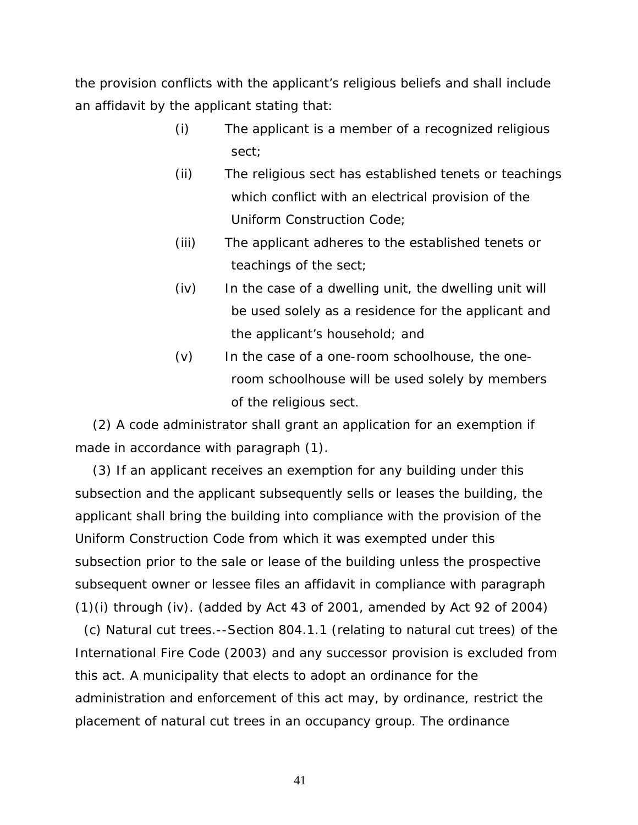the provision conflicts with the applicant's religious beliefs and shall include an affidavit by the applicant stating that:

- (i) The applicant is a member of a recognized religious sect;
- (ii) The religious sect has established tenets or teachings which conflict with an electrical provision of the Uniform Construction Code;
- (iii) The applicant adheres to the established tenets or teachings of the sect;
- (iv) In the case of a dwelling unit, the dwelling unit will be used solely as a residence for the applicant and the applicant's household; and
- (v) In the case of a one-room schoolhouse, the oneroom schoolhouse will be used solely by members of the religious sect.

 (2) A code administrator shall grant an application for an exemption if made in accordance with paragraph (1).

 (3) If an applicant receives an exemption for any building under this subsection and the applicant subsequently sells or leases the building, the applicant shall bring the building into compliance with the provision of the Uniform Construction Code from which it was exempted under this subsection prior to the sale or lease of the building unless the prospective subsequent owner or lessee files an affidavit in compliance with paragraph (1)(i) through (iv). *(added by Act 43 of 2001, amended by Act 92 of 2004)*

 (c) Natural cut trees.--Section 804.1.1 *(relating to natural cut trees)* of the International Fire Code (2003) and any successor provision is excluded from this act. A municipality that elects to adopt an ordinance for the administration and enforcement of this act may, by ordinance, restrict the placement of natural cut trees in an occupancy group. The ordinance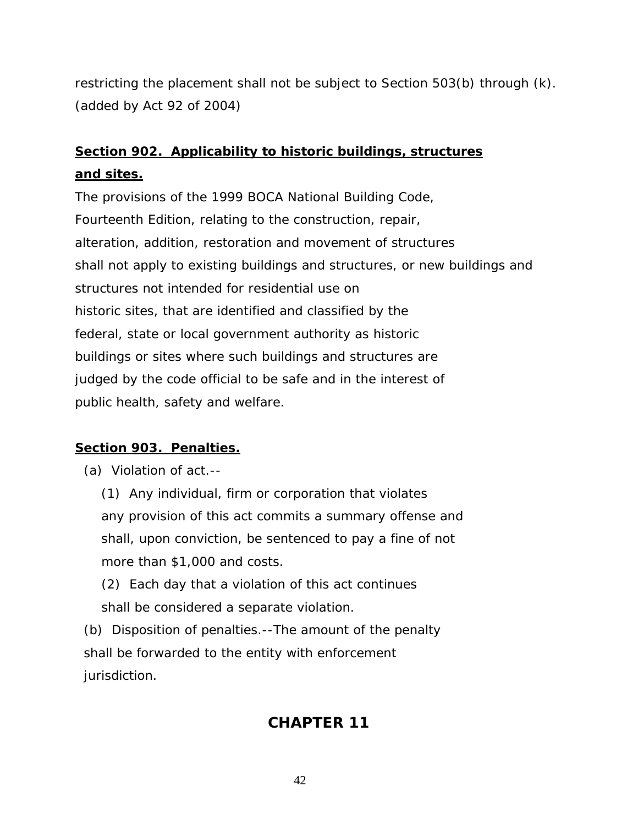restricting the placement shall not be subject to Section 503(b) through (k). *(added by Act 92 of 2004)* 

# **Section 902. Applicability to historic buildings, structures and sites.**

The provisions of the 1999 BOCA National Building Code, Fourteenth Edition, relating to the construction, repair, alteration, addition, restoration and movement of structures shall not apply to existing buildings and structures, or new buildings and structures not intended for residential use on historic sites, that are identified and classified by the federal, state or local government authority as historic buildings or sites where such buildings and structures are judged by the code official to be safe and in the interest of public health, safety and welfare.

# **Section 903. Penalties.**

(a) Violation of act.--

 (1) Any individual, firm or corporation that violates any provision of this act commits a summary offense and shall, upon conviction, be sentenced to pay a fine of not more than \$1,000 and costs.

 (2) Each day that a violation of this act continues shall be considered a separate violation.

 (b) Disposition of penalties.--The amount of the penalty shall be forwarded to the entity with enforcement jurisdiction.

# **CHAPTER 11**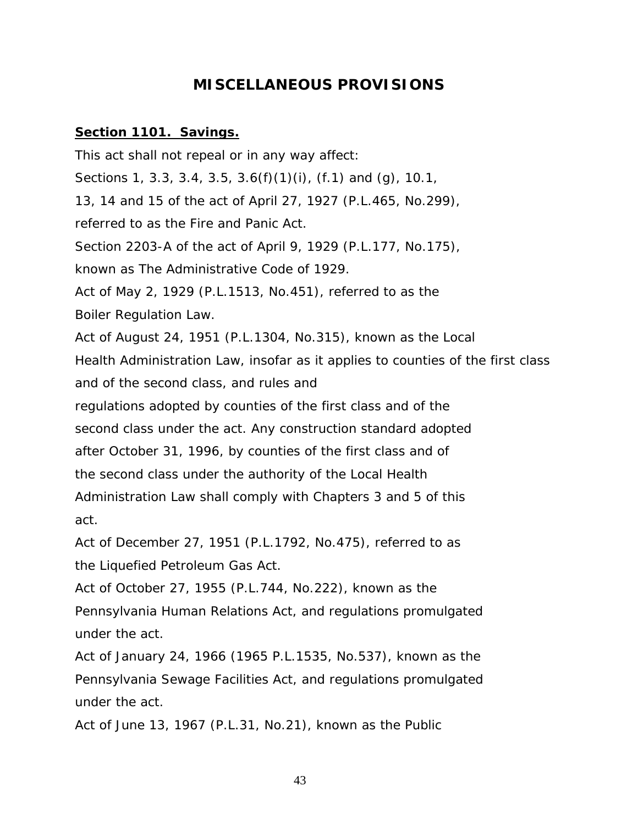# **MISCELLANEOUS PROVISIONS**

### **Section 1101. Savings.**

This act shall not repeal or in any way affect: Sections 1, 3.3, 3.4, 3.5, 3.6(f)(1)(i), (f.1) and (g), 10.1, 13, 14 and 15 of the act of April 27, 1927 (P.L.465, No.299), referred to as the Fire and Panic Act. Section 2203-A of the act of April 9, 1929 (P.L.177, No.175), known as The Administrative Code of 1929. Act of May 2, 1929 (P.L.1513, No.451), referred to as the Boiler Regulation Law. Act of August 24, 1951 (P.L.1304, No.315), known as the Local Health Administration Law, insofar as it applies to counties of the first class and of the second class, and rules and regulations adopted by counties of the first class and of the second class under the act. Any construction standard adopted after October 31, 1996, by counties of the first class and of the second class under the authority of the Local Health Administration Law shall comply with Chapters 3 and 5 of this act.

Act of December 27, 1951 (P.L.1792, No.475), referred to as the Liquefied Petroleum Gas Act.

Act of October 27, 1955 (P.L.744, No.222), known as the Pennsylvania Human Relations Act, and regulations promulgated under the act.

Act of January 24, 1966 (1965 P.L.1535, No.537), known as the Pennsylvania Sewage Facilities Act, and regulations promulgated under the act.

Act of June 13, 1967 (P.L.31, No.21), known as the Public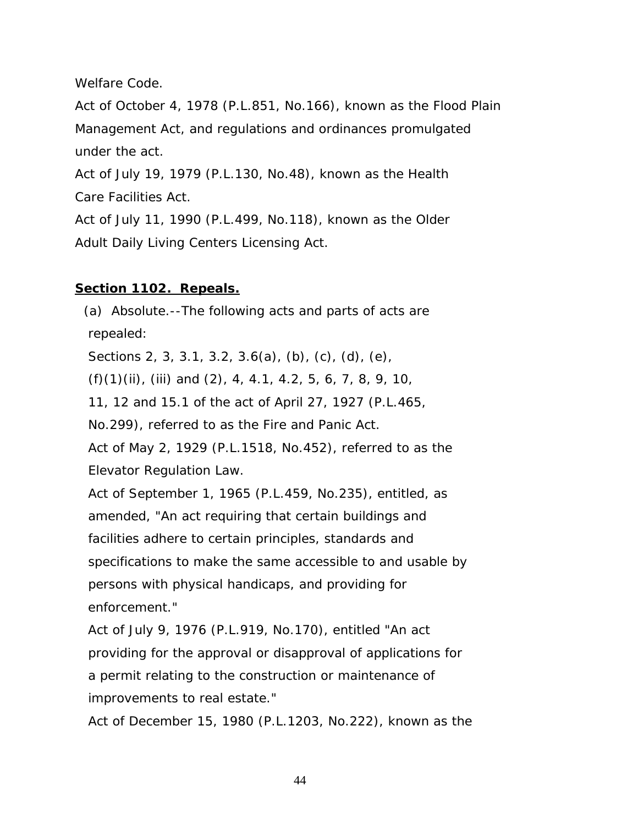Welfare Code.

Act of October 4, 1978 (P.L.851, No.166), known as the Flood Plain Management Act, and regulations and ordinances promulgated under the act.

Act of July 19, 1979 (P.L.130, No.48), known as the Health Care Facilities Act.

Act of July 11, 1990 (P.L.499, No.118), known as the Older Adult Daily Living Centers Licensing Act.

# **Section 1102. Repeals.**

 (a) Absolute.--The following acts and parts of acts are repealed:

Sections 2, 3, 3.1, 3.2, 3.6(a), (b), (c), (d), (e),

(f)(1)(ii), (iii) and (2), 4, 4.1, 4.2, 5, 6, 7, 8, 9, 10,

11, 12 and 15.1 of the act of April 27, 1927 (P.L.465,

No.299), referred to as the Fire and Panic Act.

 Act of May 2, 1929 (P.L.1518, No.452), referred to as the Elevator Regulation Law.

 Act of September 1, 1965 (P.L.459, No.235), entitled, as amended, "An act requiring that certain buildings and facilities adhere to certain principles, standards and specifications to make the same accessible to and usable by persons with physical handicaps, and providing for enforcement."

 Act of July 9, 1976 (P.L.919, No.170), entitled "An act providing for the approval or disapproval of applications for a permit relating to the construction or maintenance of improvements to real estate."

Act of December 15, 1980 (P.L.1203, No.222), known as the